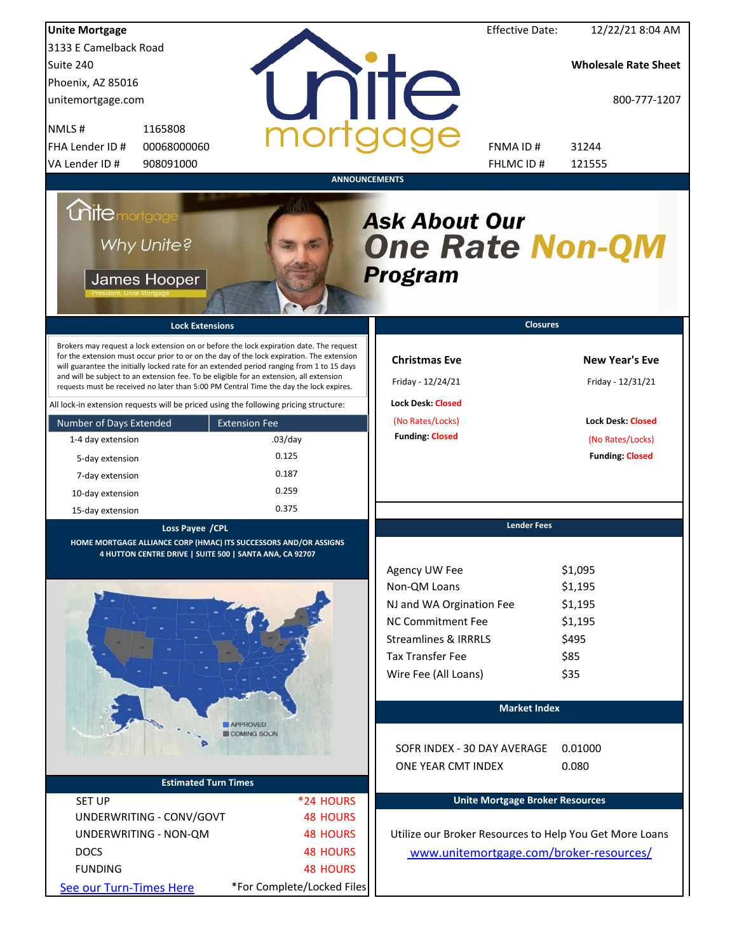| <b>Unite Mortgage</b>                                                                                                                                                                                                                                                                                                                                                                                                                                                                                                                                   |                                |                                                                                                                                                                             | <b>Effective Date:</b>                    | 12/22/21 8:04 AM                                                  |
|---------------------------------------------------------------------------------------------------------------------------------------------------------------------------------------------------------------------------------------------------------------------------------------------------------------------------------------------------------------------------------------------------------------------------------------------------------------------------------------------------------------------------------------------------------|--------------------------------|-----------------------------------------------------------------------------------------------------------------------------------------------------------------------------|-------------------------------------------|-------------------------------------------------------------------|
| 3133 E Camelback Road                                                                                                                                                                                                                                                                                                                                                                                                                                                                                                                                   |                                |                                                                                                                                                                             |                                           |                                                                   |
| Suite 240                                                                                                                                                                                                                                                                                                                                                                                                                                                                                                                                               |                                |                                                                                                                                                                             |                                           | <b>Wholesale Rate Sheet</b>                                       |
| Phoenix, AZ 85016                                                                                                                                                                                                                                                                                                                                                                                                                                                                                                                                       |                                |                                                                                                                                                                             |                                           |                                                                   |
| unitemortgage.com                                                                                                                                                                                                                                                                                                                                                                                                                                                                                                                                       |                                | <b>TITE</b>                                                                                                                                                                 |                                           | 800-777-1207                                                      |
| 1165808<br>NMLS#                                                                                                                                                                                                                                                                                                                                                                                                                                                                                                                                        |                                |                                                                                                                                                                             |                                           |                                                                   |
| FHA Lender ID #<br>00068000060                                                                                                                                                                                                                                                                                                                                                                                                                                                                                                                          |                                |                                                                                                                                                                             | FNMA ID#                                  | 31244                                                             |
| VA Lender ID #<br>908091000                                                                                                                                                                                                                                                                                                                                                                                                                                                                                                                             |                                |                                                                                                                                                                             | FHLMC ID #                                | 121555                                                            |
| <b>Unite</b> mortgage<br>Why Unite?<br>James Hooper<br><b>Lock Extensions</b><br>Brokers may request a lock extension on or before the lock expiration date. The request<br>for the extension must occur prior to or on the day of the lock expiration. The extension<br>will guarantee the initially locked rate for an extended period ranging from 1 to 15 days<br>and will be subject to an extension fee. To be eligible for an extension, all extension<br>requests must be received no later than 5:00 PM Central Time the day the lock expires. |                                | <b>Ask About Our</b><br><b>One Rate Non-QM</b><br><b>Program</b><br><b>Christmas Eve</b><br>Friday - 12/24/21                                                               | <b>Closures</b>                           | <b>New Year's Eve</b><br>Friday - 12/31/21                        |
| All lock-in extension requests will be priced using the following pricing structure:                                                                                                                                                                                                                                                                                                                                                                                                                                                                    |                                | <b>Lock Desk: Closed</b>                                                                                                                                                    |                                           |                                                                   |
| Number of Days Extended                                                                                                                                                                                                                                                                                                                                                                                                                                                                                                                                 | <b>Extension Fee</b>           | (No Rates/Locks)                                                                                                                                                            |                                           | <b>Lock Desk: Closed</b>                                          |
| 1-4 day extension                                                                                                                                                                                                                                                                                                                                                                                                                                                                                                                                       | $.03$ /day                     | <b>Funding: Closed</b>                                                                                                                                                      |                                           | (No Rates/Locks)                                                  |
| 5-day extension                                                                                                                                                                                                                                                                                                                                                                                                                                                                                                                                         | 0.125                          |                                                                                                                                                                             |                                           | <b>Funding: Closed</b>                                            |
| 7-day extension                                                                                                                                                                                                                                                                                                                                                                                                                                                                                                                                         | 0.187                          |                                                                                                                                                                             |                                           |                                                                   |
| 10-day extension                                                                                                                                                                                                                                                                                                                                                                                                                                                                                                                                        | 0.259                          |                                                                                                                                                                             |                                           |                                                                   |
| 15-day extension                                                                                                                                                                                                                                                                                                                                                                                                                                                                                                                                        | 0.375                          |                                                                                                                                                                             |                                           |                                                                   |
| Loss Payee / CPL<br>HOME MORTGAGE ALLIANCE CORP (HMAC) ITS SUCCESSORS AND/OR ASSIGNS<br>4 HUTTON CENTRE DRIVE   SUITE 500   SANTA ANA, CA 92707                                                                                                                                                                                                                                                                                                                                                                                                         | <b>APPROVED</b><br>COMING SOON | Agency UW Fee<br>Non-QM Loans<br>NJ and WA Orgination Fee<br><b>NC Commitment Fee</b><br><b>Streamlines &amp; IRRRLS</b><br><b>Tax Transfer Fee</b><br>Wire Fee (All Loans) | <b>Lender Fees</b><br><b>Market Index</b> | \$1,095<br>\$1,195<br>\$1,195<br>\$1,195<br>\$495<br>\$85<br>\$35 |
|                                                                                                                                                                                                                                                                                                                                                                                                                                                                                                                                                         |                                | SOFR INDEX - 30 DAY AVERAGE<br>ONE YEAR CMT INDEX                                                                                                                           |                                           | 0.01000<br>0.080                                                  |
| <b>Estimated Turn Times</b>                                                                                                                                                                                                                                                                                                                                                                                                                                                                                                                             |                                |                                                                                                                                                                             |                                           |                                                                   |
| <b>SET UP</b>                                                                                                                                                                                                                                                                                                                                                                                                                                                                                                                                           | *24 HOURS                      | <b>Unite Mortgage Broker Resources</b>                                                                                                                                      |                                           |                                                                   |
| UNDERWRITING - CONV/GOVT                                                                                                                                                                                                                                                                                                                                                                                                                                                                                                                                | <b>48 HOURS</b>                |                                                                                                                                                                             |                                           |                                                                   |
| UNDERWRITING - NON-QM                                                                                                                                                                                                                                                                                                                                                                                                                                                                                                                                   | <b>48 HOURS</b>                | Utilize our Broker Resources to Help You Get More Loans                                                                                                                     |                                           |                                                                   |
| <b>DOCS</b>                                                                                                                                                                                                                                                                                                                                                                                                                                                                                                                                             | <b>48 HOURS</b>                | www.unitemortgage.com/broker-resources/                                                                                                                                     |                                           |                                                                   |
| <b>FUNDING</b>                                                                                                                                                                                                                                                                                                                                                                                                                                                                                                                                          | <b>48 HOURS</b>                |                                                                                                                                                                             |                                           |                                                                   |
| See our Turn-Times Here                                                                                                                                                                                                                                                                                                                                                                                                                                                                                                                                 | *For Complete/Locked Files     |                                                                                                                                                                             |                                           |                                                                   |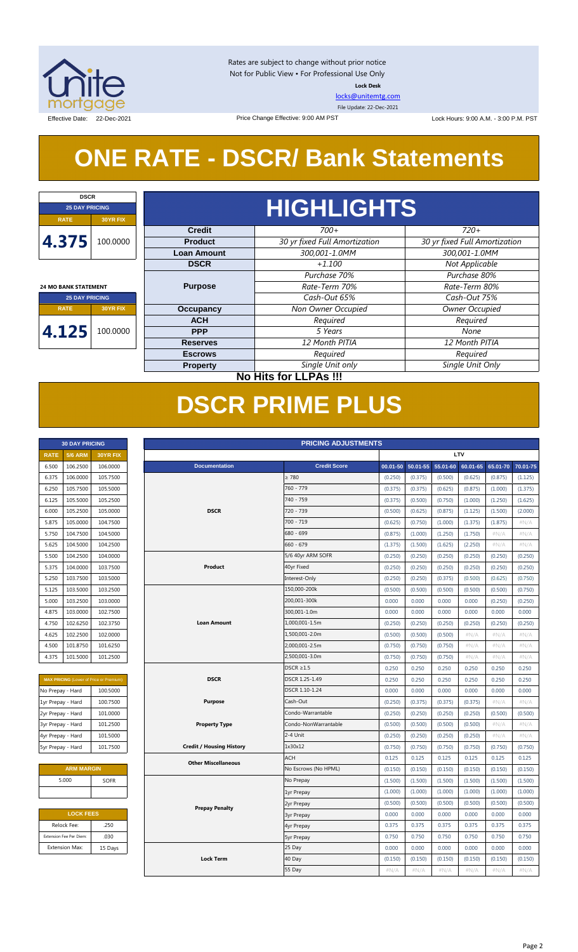

Rates are subject to change without prior notice Not for Public View • For Professional Use Only **Lock Desk**

[locks@unitemtg.com](mailto:locks@unitemtg.com)

File Update: 22-Dec-2021

Effective Date: 22-Dec-2021 **Data Concernsive Concernsive Change Effective: 9:00 AM PST** Lock Hours: 9:00 A.M. - 3:00 P.M. PST

## **ONE RATE - DSCR/ Bank Statements**

Price Change Effective: 9:00 AM PST

| <b>DSCR</b>                 |                              |                    |                               |                               |  |  |  |  |            |         |      |
|-----------------------------|------------------------------|--------------------|-------------------------------|-------------------------------|--|--|--|--|------------|---------|------|
| <b>25 DAY PRICING</b>       |                              | <b>HIGHLIGHTS</b>  |                               |                               |  |  |  |  |            |         |      |
| <b>RATE</b>                 | <b>30YR FIX</b>              |                    |                               |                               |  |  |  |  |            |         |      |
|                             |                              | <b>Credit</b>      | $700+$                        | $720+$                        |  |  |  |  |            |         |      |
| 4.375                       | 100.0000                     | <b>Product</b>     | 30 yr fixed Full Amortization | 30 yr fixed Full Amortization |  |  |  |  |            |         |      |
|                             |                              | <b>Loan Amount</b> | 300,001-1.0MM                 | 300,001-1.0MM                 |  |  |  |  |            |         |      |
|                             |                              | <b>DSCR</b>        | $+1.100$                      | Not Applicable                |  |  |  |  |            |         |      |
|                             |                              |                    | Purchase 70%                  | Purchase 80%                  |  |  |  |  |            |         |      |
| <b>24 MO BANK STATEMENT</b> |                              | <b>Purpose</b>     | Rate-Term 70%                 | Rate-Term 80%                 |  |  |  |  |            |         |      |
| <b>25 DAY PRICING</b>       |                              |                    | Cash-Out 65%                  | Cash-Out 75%                  |  |  |  |  |            |         |      |
| <b>RATE</b>                 | <b>30YR FIX</b>              | <b>Occupancy</b>   | Non Owner Occupied            | Owner Occupied                |  |  |  |  |            |         |      |
|                             |                              | <b>ACH</b>         | Required                      | Required                      |  |  |  |  |            |         |      |
| 4.125                       | 100.0000                     |                    |                               |                               |  |  |  |  | <b>PPP</b> | 5 Years | None |
|                             |                              | <b>Reserves</b>    | 12 Month PITIA                | 12 Month PITIA                |  |  |  |  |            |         |      |
|                             |                              | <b>Escrows</b>     | Required                      | Required                      |  |  |  |  |            |         |      |
|                             |                              | <b>Property</b>    | Single Unit only              | Single Unit Only              |  |  |  |  |            |         |      |
|                             | <b>No Hits for LLPAs !!!</b> |                    |                               |                               |  |  |  |  |            |         |      |

## **DSCR PRIME PLUS**

| <b>30 DAY PRICING</b> |                |                 |  |  |  |  |  |
|-----------------------|----------------|-----------------|--|--|--|--|--|
| <b>RATE</b>           | <b>5/6 ARM</b> | <b>30YR FIX</b> |  |  |  |  |  |
| 6.500                 | 106.2500       | 106.0000        |  |  |  |  |  |
| 6.375                 | 106.0000       | 105.7500        |  |  |  |  |  |
| 6.250                 | 105.7500       | 105.5000        |  |  |  |  |  |
| 6.125                 | 105.5000       | 105.2500        |  |  |  |  |  |
| 6.000                 | 105.2500       | 105.0000        |  |  |  |  |  |
| 5.875                 | 105.0000       | 104.7500        |  |  |  |  |  |
| 5.750                 | 104.7500       | 104.5000        |  |  |  |  |  |
| 5.625                 | 104.5000       | 104.2500        |  |  |  |  |  |
| 5.500                 | 104.2500       | 104.0000        |  |  |  |  |  |
| 5.375                 | 104.0000       | 103.7500        |  |  |  |  |  |
| 5.250                 | 103.7500       | 103.5000        |  |  |  |  |  |
| 5.125                 | 103.5000       | 103.2500        |  |  |  |  |  |
| 5.000                 | 103.2500       | 103.0000        |  |  |  |  |  |
| 4.875                 | 103.0000       | 102.7500        |  |  |  |  |  |
| 4.750                 | 102.6250       | 102.3750        |  |  |  |  |  |
| 4.625                 | 102.2500       | 102.0000        |  |  |  |  |  |
| 4.500                 | 101.8750       | 101.6250        |  |  |  |  |  |
| 4.375                 | 101.5000       | 101.2500        |  |  |  |  |  |

| <b>MAX PRICING (Lower of Price or Premium)</b> |          |  |  |  |  |  |  |  |  |
|------------------------------------------------|----------|--|--|--|--|--|--|--|--|
| No Prepay - Hard                               | 100.5000 |  |  |  |  |  |  |  |  |
| 1yr Prepay - Hard                              | 100.7500 |  |  |  |  |  |  |  |  |
| 2yr Prepay - Hard                              | 101.0000 |  |  |  |  |  |  |  |  |
| 3yr Prepay - Hard                              | 101.2500 |  |  |  |  |  |  |  |  |
| 4yr Prepay - Hard                              | 101.5000 |  |  |  |  |  |  |  |  |
| 5yr Prepay - Hard                              | 101.7500 |  |  |  |  |  |  |  |  |

| <b>ARM MARGIN</b> |             |  |  |  |  |  |  |
|-------------------|-------------|--|--|--|--|--|--|
| 5.000             | <b>SOFR</b> |  |  |  |  |  |  |
|                   |             |  |  |  |  |  |  |

| <b>LOCK FEES</b>        |         |  |  |  |  |  |  |
|-------------------------|---------|--|--|--|--|--|--|
| Relock Fee:             | .250    |  |  |  |  |  |  |
| Extension Fee Per Diem: | .030    |  |  |  |  |  |  |
| <b>Extension Max:</b>   | 15 Days |  |  |  |  |  |  |
|                         |         |  |  |  |  |  |  |

|                                                | <b>30 DAY PRICING</b>   |          |             |                                 |                | <b>PRICING ADJUSTMENTS</b> |         |                   |          |            |          |          |
|------------------------------------------------|-------------------------|----------|-------------|---------------------------------|----------------|----------------------------|---------|-------------------|----------|------------|----------|----------|
| <b>RATE</b>                                    | 5/6 ARM                 | 30YR FIX |             |                                 |                |                            |         |                   |          | <b>LTV</b> |          |          |
| 6.500                                          | 106.2500                | 106.0000 |             | <b>Documentation</b>            |                | <b>Credit Score</b>        |         | 00.01-50 50.01-55 | 55.01-60 | 60.01-65   | 65.01-70 | 70.01-75 |
| 6.375                                          | 106.0000                | 105.7500 |             |                                 |                | $\geq 780$                 | (0.250) | (0.375)           | (0.500)  | (0.625)    | (0.875)  | (1.125)  |
| 6.250                                          | 105.7500                | 105.5000 |             |                                 |                | 760 - 779                  | (0.375) | (0.375)           | (0.625)  | (0.875)    | (1.000)  | (1.375)  |
| 6.125                                          | 105.5000                | 105.2500 |             |                                 |                | 740 - 759                  | (0.375) | (0.500)           | (0.750)  | (1.000)    | (1.250)  | (1.625)  |
| 6.000                                          | 105.2500                | 105.0000 |             | <b>DSCR</b>                     |                | 720 - 739                  | (0.500) | (0.625)           | (0.875)  | (1.125)    | (1.500)  | (2.000)  |
| 5.875                                          | 105.0000                | 104.7500 |             |                                 |                | 700 - 719                  | (0.625) | (0.750)           | (1.000)  | (1.375)    | (1.875)  | #N/A     |
| 5.750                                          | 104.7500                | 104.5000 |             |                                 |                | 680 - 699                  | (0.875) | (1.000)           | (1.250)  | (1.750)    | #N/A     | #N/A     |
| 5.625                                          | 104.5000                | 104.2500 |             |                                 |                | $660 - 679$                | (1.375) | (1.500)           | (1.625)  | (2.250)    | #N/A     | #N/A     |
| 5.500                                          | 104.2500                | 104.0000 |             |                                 |                | 5/6 40yr ARM SOFR          | (0.250) | (0.250)           | (0.250)  | (0.250)    | (0.250)  | (0.250)  |
| 5.375                                          | 104.0000                | 103.7500 |             | Product                         |                | 40yr Fixed                 | (0.250) | (0.250)           | (0.250)  | (0.250)    | (0.250)  | (0.250)  |
| 5.250                                          | 103.7500                | 103.5000 |             |                                 |                | Interest-Only              | (0.250) | (0.250)           | (0.375)  | (0.500)    | (0.625)  | (0.750)  |
| 5.125                                          | 103.5000                | 103.2500 |             |                                 |                | 150,000-200k               | (0.500) | (0.500)           | (0.500)  | (0.500)    | (0.500)  | (0.750)  |
| 5.000                                          | 103.2500                | 103.0000 |             |                                 |                | 200,001-300k               | 0.000   | 0.000             | 0.000    | 0.000      | (0.250)  | (0.250)  |
| 4.875                                          | 103.0000                | 102.7500 |             |                                 |                | 300,001-1.0m               | 0.000   | 0.000             | 0.000    | 0.000      | 0.000    | 0.000    |
| 4.750                                          | 102.6250                | 102.3750 |             | <b>Loan Amount</b>              |                | 1,000,001-1.5m             | (0.250) | (0.250)           | (0.250)  | (0.250)    | (0.250)  | (0.250)  |
| 4.625                                          | 102.2500                | 102.0000 |             |                                 |                | 1,500,001-2.0m             | (0.500) | (0.500)           | (0.500)  | #N/A       | $\#N/A$  | #N/A     |
| 4.500                                          | 101.8750                | 101.6250 |             |                                 |                | 2,000,001-2.5m             | (0.750) | (0.750)           | (0.750)  | $\#N/A$    | #N/A     | #N/A     |
| 4.375                                          | 101.5000                | 101.2500 |             |                                 |                | 2,500,001-3.0m             | (0.750) | (0.750)           | (0.750)  | $\#N/A$    | #N/A     | #N/A     |
|                                                |                         |          |             |                                 |                | $DSCR \geq 1.5$            | 0.250   | 0.250             | 0.250    | 0.250      | 0.250    | 0.250    |
| <b>MAX PRICING</b> (Lower of Price or Premium) |                         |          | <b>DSCR</b> |                                 | DSCR 1.25-1.49 | 0.250                      | 0.250   | 0.250             | 0.250    | 0.250      | 0.250    |          |
| No Prepay - Hard                               |                         | 100.5000 |             |                                 |                | DSCR 1.10-1.24             | 0.000   | 0.000             | 0.000    | 0.000      | 0.000    | 0.000    |
| 1yr Prepay - Hard                              |                         | 100.7500 |             | <b>Purpose</b>                  |                | Cash-Out                   | (0.250) | (0.375)           | (0.375)  | (0.375)    | #N/A     | #N/A     |
| 2yr Prepay - Hard                              |                         | 101.0000 |             |                                 |                | Condo-Warrantable          | (0.250) | (0.250)           | (0.250)  | (0.250)    | (0.500)  | (0.500)  |
| 3yr Prepay - Hard                              |                         | 101.2500 |             | <b>Property Type</b>            |                | Condo-NonWarrantable       | (0.500) | (0.500)           | (0.500)  | (0.500)    | #N/A     | #N/A     |
| 4yr Prepay - Hard                              |                         | 101.5000 |             |                                 |                | 2-4 Unit                   | (0.250) | (0.250)           | (0.250)  | (0.250)    | $\#N/A$  | #N/A     |
| 5yr Prepay - Hard                              |                         | 101.7500 |             | <b>Credit / Housing History</b> |                | 1x30x12                    | (0.750) | (0.750)           | (0.750)  | (0.750)    | (0.750)  | (0.750)  |
|                                                |                         |          |             | <b>Other Miscellaneous</b>      |                | ACH                        | 0.125   | 0.125             | 0.125    | 0.125      | 0.125    | 0.125    |
|                                                | <b>ARM MARGIN</b>       |          |             |                                 |                | No Escrows (No HPML)       | (0.150) | (0.150)           | (0.150)  | (0.150)    | (0.150)  | (0.150)  |
|                                                | 5.000                   | SOFR     |             |                                 |                | No Prepay                  | (1.500) | (1.500)           | (1.500)  | (1.500)    | (1.500)  | (1.500)  |
|                                                |                         |          |             |                                 |                | 1yr Prepay                 | (1.000) | (1.000)           | (1.000)  | (1.000)    | (1.000)  | (1.000)  |
|                                                |                         |          |             | <b>Prepay Penalty</b>           |                | 2yr Prepay                 | (0.500) | (0.500)           | (0.500)  | (0.500)    | (0.500)  | (0.500)  |
|                                                | <b>LOCK FEES</b>        |          |             |                                 |                | <b>3yr Prepay</b>          | 0.000   | 0.000             | 0.000    | 0.000      | 0.000    | 0.000    |
|                                                | Relock Fee:             | .250     |             |                                 |                | 4yr Prepay                 | 0.375   | 0.375             | 0.375    | 0.375      | 0.375    | 0.375    |
|                                                | Extension Fee Per Diem: | .030     |             |                                 |                | <b>5yr Prepay</b>          | 0.750   | 0.750             | 0.750    | 0.750      | 0.750    | 0.750    |
|                                                | <b>Extension Max:</b>   | 15 Days  |             |                                 |                | 25 Day                     | 0.000   | 0.000             | 0.000    | 0.000      | 0.000    | 0.000    |
|                                                |                         |          |             | <b>Lock Term</b>                |                | 40 Day                     | (0.150) | (0.150)           | (0.150)  | (0.150)    | (0.150)  | (0.150)  |
|                                                |                         |          |             |                                 |                | 55 Day                     | $\#N/A$ | $\#N/A$           | $\#N/A$  | $\#N/A$    | #N/A     | $\#N/A$  |
|                                                |                         |          |             |                                 |                |                            |         |                   |          |            |          |          |

#### Page 2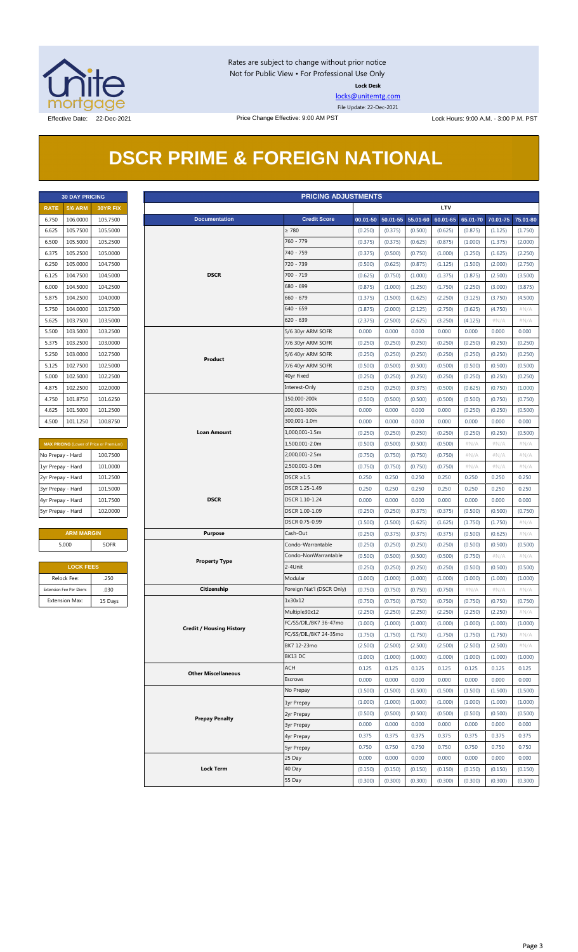

Rates are subject to change without prior notice Not for Public View • For Professional Use Only **Lock Desk**

[locks@unitemtg.com](mailto:locks@unitemtg.com)

File Update: 22-Dec-2021

## **DSCR PRIME & FOREIGN NATIONAL**

|             | <b>30 DAY PRICING</b> |                 |
|-------------|-----------------------|-----------------|
| <b>RATE</b> | <b>5/6 ARM</b>        | <b>30YR FIX</b> |
| 6.750       | 106.0000              | 105.7500        |
| 6.625       | 105.7500              | 105.5000        |
| 6.500       | 105.5000              | 105.2500        |
| 6.375       | 105.2500              | 105.0000        |
| 6.250       | 105.0000              | 104.7500        |
| 6.125       | 104.7500              | 104.5000        |
| 6.000       | 104.5000              | 104.2500        |
| 5.875       | 104.2500              | 104.0000        |
| 5.750       | 104.0000              | 103.7500        |
| 5.625       | 103.7500              | 103.5000        |
| 5.500       | 103.5000              | 103.2500        |
| 5.375       | 103.2500              | 103.0000        |
| 5.250       | 103.0000              | 102.7500        |
| 5.125       | 102.7500              | 102.5000        |
| 5.000       | 102.5000              | 102.2500        |
| 4.875       | 102.2500              | 102.0000        |
| 4.750       | 101.8750              | 101.6250        |
| 4.625       | 101.5000              | 101.2500        |
| 4.500       | 101.1250              | 100.8750        |

| <b>MAX PRICING</b> (Lower of Price or Premium) |          |  |  |  |  |  |  |  |  |
|------------------------------------------------|----------|--|--|--|--|--|--|--|--|
| No Prepay - Hard                               | 100.7500 |  |  |  |  |  |  |  |  |
| 1yr Prepay - Hard                              | 101.0000 |  |  |  |  |  |  |  |  |
| 2yr Prepay - Hard                              | 101.2500 |  |  |  |  |  |  |  |  |
| 3yr Prepay - Hard                              | 101.5000 |  |  |  |  |  |  |  |  |
| 4yr Prepay - Hard                              | 101.7500 |  |  |  |  |  |  |  |  |
| 5yr Prepay - Hard                              | 102,0000 |  |  |  |  |  |  |  |  |

| <b>ARM MARGIN</b> |             |  |  |  |  |  |  |
|-------------------|-------------|--|--|--|--|--|--|
| 5.000             | <b>SOFR</b> |  |  |  |  |  |  |
|                   |             |  |  |  |  |  |  |

| <b>LOCK FEES</b>        |         |  |  |  |  |  |  |
|-------------------------|---------|--|--|--|--|--|--|
| Relock Fee:             | .250    |  |  |  |  |  |  |
| Extension Fee Per Diem: | .030    |  |  |  |  |  |  |
| <b>Extension Max:</b>   | 15 Days |  |  |  |  |  |  |

|                         | <b>PRICING ADJUSTMENTS</b><br><b>30 DAY PRICING</b> |                                         |  |                                 |                                                |         |                            |         |            |         |                            |                    |
|-------------------------|-----------------------------------------------------|-----------------------------------------|--|---------------------------------|------------------------------------------------|---------|----------------------------|---------|------------|---------|----------------------------|--------------------|
| <b>RATE</b>             | <b>5/6 ARM</b>                                      | 30YR FIX                                |  |                                 |                                                |         |                            |         | <b>LTV</b> |         |                            |                    |
| 6.750                   | 106.0000                                            | 105.7500                                |  | <b>Documentation</b>            | <b>Credit Score</b>                            |         | 00.01-50 50.01-55 55.01-60 |         | 60.01-65   |         | 65.01-70 70.01-75 75.01-80 |                    |
| 6.625                   | 105.7500                                            | 105.5000                                |  |                                 | $\geq 780$                                     | (0.250) | (0.375)                    | (0.500) | (0.625)    | (0.875) | (1.125)                    | (1.750)            |
| 6.500                   | 105.5000                                            | 105.2500                                |  |                                 | 760 - 779                                      | (0.375) | (0.375)                    | (0.625) | (0.875)    | (1.000) | (1.375)                    | (2.000)            |
| 6.375                   | 105.2500                                            | 105.0000                                |  |                                 | 740 - 759                                      | (0.375) | (0.500)                    | (0.750) | (1.000)    | (1.250) | (1.625)                    | (2.250)            |
| 6.250                   | 105.0000                                            | 104.7500                                |  |                                 | 720 - 739                                      | (0.500) | (0.625)                    | (0.875) | (1.125)    | (1.500) | (2.000)                    | (2.750)            |
| 6.125                   | 104.7500                                            | 104.5000                                |  | <b>DSCR</b>                     | 700 - 719                                      | (0.625) | (0.750)                    | (1.000) | (1.375)    | (1.875) | (2.500)                    | (3.500)            |
| 6.000                   | 104.5000                                            | 104.2500                                |  |                                 | 680 - 699                                      | (0.875) | (1.000)                    | (1.250) | (1.750)    | (2.250) | (3.000)                    | (3.875)            |
| 5.875                   | 104.2500                                            | 104.0000                                |  |                                 | $660 - 679$                                    | (1.375) | (1.500)                    | (1.625) | (2.250)    | (3.125) | (3.750)                    | (4.500)            |
| 5.750                   | 104.0000                                            | 103.7500                                |  |                                 | 640 - 659                                      | (1.875) | (2.000)                    | (2.125) | (2.750)    | (3.625) | (4.750)                    | $\#N/A$            |
| 5.625                   | 103.7500                                            | 103.5000                                |  |                                 | $620 - 639$                                    | (2.375) | (2.500)                    | (2.625) | (3.250)    | (4.125) | # $N/A$                    | $\#N/A$            |
| 5.500                   | 103.5000                                            | 103.2500                                |  |                                 | 5/6 30yr ARM SOFR                              | 0.000   | 0.000                      | 0.000   | 0.000      | 0.000   | 0.000                      | 0.000              |
| 5.375                   | 103.2500                                            | 103.0000                                |  |                                 |                                                | (0.250) | (0.250)                    | (0.250) | (0.250)    | (0.250) | (0.250)                    | (0.250)            |
|                         |                                                     |                                         |  |                                 | 7/6 30yr ARM SOFR                              |         |                            |         |            |         |                            |                    |
| 5.250                   | 103.0000                                            | 102.7500                                |  | Product                         | 5/6 40yr ARM SOFR                              | (0.250) | (0.250)                    | (0.250) | (0.250)    | (0.250) | (0.250)                    | (0.250)            |
| 5.125                   | 102.7500                                            | 102.5000                                |  |                                 | 7/6 40yr ARM SOFR                              | (0.500) | (0.500)                    | (0.500) | (0.500)    | (0.500) | (0.500)                    | (0.500)            |
| 5.000                   | 102.5000                                            | 102.2500                                |  |                                 | 40yr Fixed                                     | (0.250) | (0.250)                    | (0.250) | (0.250)    | (0.250) | (0.250)                    | (0.250)            |
| 4.875                   | 102.2500                                            | 102.0000                                |  |                                 | Interest-Only                                  | (0.250) | (0.250)                    | (0.375) | (0.500)    | (0.625) | (0.750)                    | (1.000)            |
| 4.750                   | 101.8750                                            | 101.6250                                |  |                                 | 150,000-200k                                   | (0.500) | (0.500)                    | (0.500) | (0.500)    | (0.500) | (0.750)                    | (0.750)            |
| 4.625                   | 101.5000                                            | 101.2500                                |  |                                 | 200,001-300k                                   | 0.000   | 0.000                      | 0.000   | 0.000      | (0.250) | (0.250)                    | (0.500)            |
| 4.500                   | 101.1250                                            | 100.8750                                |  |                                 | 300,001-1.0m                                   | 0.000   | 0.000                      | 0.000   | 0.000      | 0.000   | 0.000                      | 0.000              |
|                         |                                                     |                                         |  | <b>Loan Amount</b>              | 1,000,001-1.5m                                 | (0.250) | (0.250)                    | (0.250) | (0.250)    | (0.250) | (0.250)                    | (0.500)            |
|                         |                                                     | MAX PRICING (Lower of Price or Premium) |  |                                 | 1,500,001-2.0m                                 | (0.500) | (0.500)                    | (0.500) | (0.500)    | $\#N/A$ | #N/A                       | $\#N/A$            |
| No Prepay - Hard        |                                                     | 100.7500                                |  |                                 | 2,000,001-2.5m                                 | (0.750) | (0.750)                    | (0.750) | (0.750)    | # $N/A$ | # $N/A$                    | $\#N/A$            |
| 1yr Prepay - Hard       |                                                     | 101.0000                                |  |                                 | 2,500,001-3.0m                                 | (0.750) | (0.750)                    | (0.750) | (0.750)    | # $N/A$ | # $N/A$                    | $\#N/A$            |
| 2yr Prepay - Hard       |                                                     | 101.2500                                |  |                                 | $DSCR \geq 1.5$                                | 0.250   | 0.250                      | 0.250   | 0.250      | 0.250   | 0.250                      | 0.250              |
| 3yr Prepay - Hard       |                                                     | 101.5000                                |  |                                 | DSCR 1.25-1.49                                 | 0.250   | 0.250                      | 0.250   | 0.250      | 0.250   | 0.250                      | 0.250              |
| 4yr Prepay - Hard       |                                                     | 101.7500                                |  | <b>DSCR</b>                     | DSCR 1.10-1.24                                 | 0.000   | 0.000                      | 0.000   | 0.000      | 0.000   | 0.000                      | 0.000              |
|                         | 5yr Prepay - Hard<br>102.0000                       |                                         |  |                                 | DSCR 1.00-1.09                                 | (0.250) | (0.250)                    | (0.375) | (0.375)    | (0.500) | (0.500)                    | (0.750)            |
|                         |                                                     |                                         |  | DSCR 0.75-0.99                  | (1.500)                                        | (1.500) | (1.625)                    | (1.625) | (1.750)    | (1.750) | #N/A                       |                    |
|                         | <b>ARM MARGIN</b>                                   |                                         |  | <b>Purpose</b>                  | Cash-Out                                       | (0.250) | (0.375)                    | (0.375) | (0.375)    | (0.500) | (0.625)                    | $\#N/A$            |
| 5.000                   |                                                     | <b>SOFR</b>                             |  |                                 | Condo-Warrantable                              | (0.250) | (0.250)                    | (0.250) | (0.250)    | (0.500) | (0.500)                    | (0.500)            |
|                         |                                                     |                                         |  |                                 | Condo-NonWarrantable                           | (0.500) | (0.500)                    | (0.500) | (0.500)    | (0.750) | #N/A                       | #N/A               |
|                         | <b>LOCK FEES</b>                                    |                                         |  | <b>Property Type</b>            | 2-4Unit                                        | (0.250) | (0.250)                    | (0.250) | (0.250)    | (0.500) | (0.500)                    | (0.500)            |
| Relock Fee:             |                                                     | .250                                    |  |                                 | Modular                                        | (1.000) | (1.000)                    | (1.000) | (1.000)    | (1.000) | (1.000)                    | (1.000)            |
| Extension Fee Per Diem: |                                                     | .030                                    |  | Citizenship                     | Foreign Nat'l (DSCR Only)                      | (0.750) | (0.750)                    | (0.750) | (0.750)    | $\#N/A$ | $\#N/A$                    | $\#N/A$            |
| <b>Extension Max:</b>   |                                                     | 15 Days                                 |  |                                 | 1x30x12                                        | (0.750) | (0.750)                    | (0.750) | (0.750)    | (0.750) | (0.750)                    | (0.750)            |
|                         |                                                     |                                         |  |                                 | Multiple30x12                                  | (2.250) | (2.250)                    | (2.250) | (2.250)    | (2.250) | (2.250)                    | $\#N/A$            |
|                         |                                                     |                                         |  |                                 |                                                |         |                            |         |            |         |                            |                    |
|                         |                                                     |                                         |  | <b>Credit / Housing History</b> | FC/SS/DIL/BK7 36-47mo<br>FC/SS/DIL/BK7 24-35mo | (1.000) | (1.000)                    | (1.000) | (1.000)    | (1.000) | (1.000)                    | (1.000)<br>$\#N/A$ |
|                         |                                                     |                                         |  |                                 |                                                | (1.750) | (1.750)                    | (1.750) | (1.750)    | (1.750) | (1.750)                    |                    |
|                         |                                                     |                                         |  |                                 | BK7 12-23mo                                    | (2.500) | (2.500)                    | (2.500) | (2.500)    | (2.500) | (2.500)                    | # $N/A$            |
|                         |                                                     |                                         |  |                                 | BK13 DC                                        | (1.000) | (1.000)                    | (1.000) | (1.000)    | (1.000) | (1.000)                    | (1.000)            |
|                         |                                                     |                                         |  | <b>Other Miscellaneous</b>      | <b>ACH</b>                                     | 0.125   | 0.125                      | 0.125   | 0.125      | 0.125   | 0.125                      | 0.125              |
|                         |                                                     |                                         |  |                                 | Escrows                                        | 0.000   | 0.000                      | 0.000   | 0.000      | 0.000   | 0.000                      | 0.000              |
|                         |                                                     |                                         |  |                                 | No Prepay                                      | (1.500) | (1.500)                    | (1.500) | (1.500)    | (1.500) | (1.500)                    | (1.500)            |
|                         |                                                     |                                         |  |                                 | 1yr Prepay                                     | (1.000) | (1.000)                    | (1.000) | (1.000)    | (1.000) | (1.000)                    | (1.000)            |
|                         |                                                     |                                         |  | <b>Prepay Penalty</b>           | 2yr Prepay                                     | (0.500) | (0.500)                    | (0.500) | (0.500)    | (0.500) | (0.500)                    | (0.500)            |
|                         |                                                     |                                         |  |                                 | <b>3yr Prepay</b>                              | 0.000   | 0.000                      | 0.000   | 0.000      | 0.000   | 0.000                      | 0.000              |
|                         |                                                     |                                         |  |                                 | 4yr Prepay                                     | 0.375   | 0.375                      | 0.375   | 0.375      | 0.375   | 0.375                      | 0.375              |
|                         |                                                     |                                         |  |                                 | <b>5yr Prepay</b>                              | 0.750   | 0.750                      | 0.750   | 0.750      | 0.750   | 0.750                      | 0.750              |
|                         |                                                     |                                         |  |                                 | 25 Day                                         | 0.000   | 0.000                      | 0.000   | 0.000      | 0.000   | 0.000                      | 0.000              |
|                         |                                                     |                                         |  | <b>Lock Term</b>                | 40 Day                                         | (0.150) | (0.150)                    | (0.150) | (0.150)    | (0.150) | (0.150)                    | (0.150)            |
|                         |                                                     |                                         |  |                                 | 55 Day                                         | (0.300) | (0.300)                    | (0.300) | (0.300)    | (0.300) | (0.300)                    | (0.300)            |
|                         |                                                     |                                         |  |                                 |                                                |         |                            |         |            |         |                            |                    |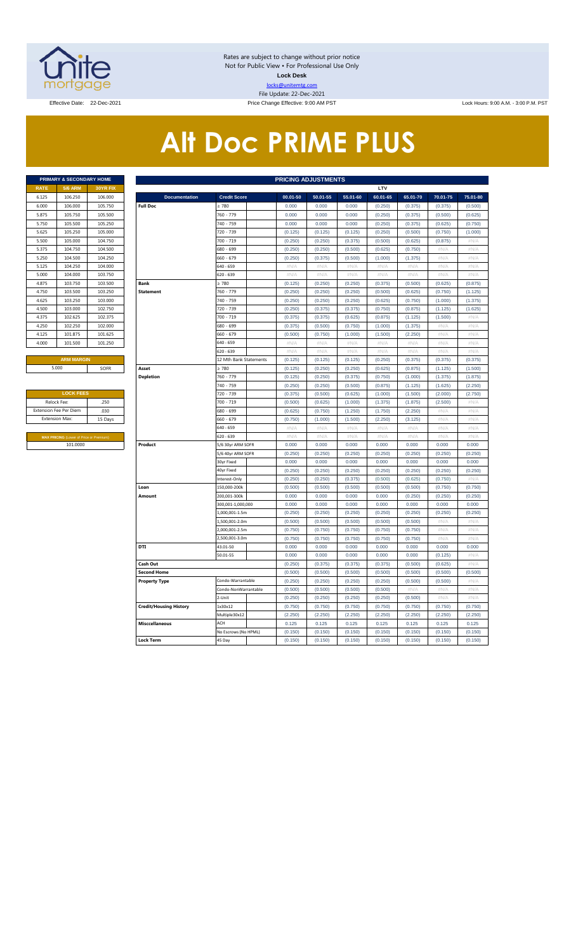

Rates are subject to change without prior notice Not for Public View • For Professional Use Only **Lock Desk** locks@unitemtg.com File Update: 22-Dec-2021

Effective Date: 22-Dec-2021 **Price Change Effective: 9:00 AM PST** Lock Hours: 9:00 A.M. - 3:00 P.M. PST

# **Alt Doc PRIME PLUS**

|             | <b>PRIMARY &amp; SECONDARY HOME</b> |                 |
|-------------|-------------------------------------|-----------------|
| <b>RATE</b> | <b>5/6 ARM</b>                      | <b>30YR FIX</b> |
| 6.125       | 106.250                             | 106,000         |
| 6.000       | 106,000                             | 105.750         |
| 5.875       | 105.750                             | 105.500         |
| 5.750       | 105.500                             | 105.250         |
| 5.625       | 105.250                             | 105.000         |
| 5.500       | 105.000                             | 104.750         |
| 5.375       | 104.750                             | 104.500         |
| 5.250       | 104.500                             | 104.250         |
| 5.125       | 104.250                             | 104,000         |
| 5.000       | 104.000                             | 103.750         |
| 4.875       | 103.750                             | 103.500         |
| 4.750       | 103,500                             | 103.250         |
| 4.625       | 103.250                             | 103.000         |
| 4.500       | 103,000                             | 102.750         |
| 4.375       | 102.625                             | 102.375         |
| 4.250       | 102.250                             | 102.000         |
| 4.125       | 101.875                             | 101.625         |
| 4.000       | 101.500                             | 101.250         |
|             | <b>ADM MADOINE</b>                  |                 |

| <b>LOCK FEES</b>                               |         |
|------------------------------------------------|---------|
| Relock Fee:                                    | .250    |
| <b>Extension Fee Per Diem</b>                  | .030    |
| <b>Extension Max:</b>                          | 15 Days |
|                                                |         |
| <b>MAX PRICING (Lower of Price or Premium)</b> |         |
| 101.0000                                       |         |

|                | PRIMARY & SECONDARY HOME                |          |                               |                               | <b>PRICING ADJUSTMENTS</b> |                    |                    |                    |                    |                    |                   |
|----------------|-----------------------------------------|----------|-------------------------------|-------------------------------|----------------------------|--------------------|--------------------|--------------------|--------------------|--------------------|-------------------|
| <b>RATE</b>    | <b>5/6 ARM</b>                          | 30YR FIX |                               |                               |                            |                    |                    | LTV                |                    |                    |                   |
| 6.125          | 106.250                                 | 106.000  | <b>Documentation</b>          | <b>Credit Score</b>           | 00.01-50                   | 50.01-55           | 55.01-60           | 60.01-65           | 65.01-70           | 70.01-75           | 75.01-80          |
| 6.000          | 106.000                                 | 105.750  | <b>Full Doc</b>               | 2780                          | 0.000                      | 0.000              | 0.000              | (0.250)            | (0.375)            | (0.375)            | (0.500)           |
| 5.875          | 105.750                                 | 105.500  |                               | 760 - 779                     | 0.000                      | 0.000              | 0.000              | (0.250)            | (0.375)            | (0.500)            | (0.625)           |
| 5.750          | 105,500                                 | 105.250  |                               | 740 - 759                     | 0.000                      | 0.000              | 0.000              | (0.250)            | (0.375)            | (0.625)            | (0.750)           |
| 5.625          | 105.250                                 | 105.000  |                               | 720 - 739                     | (0.125)                    | (0.125)            | (0.125)            | (0.250)            | (0.500)            | (0.750)            | (1.000)           |
| 5.500          | 105.000                                 | 104.750  |                               | 700 - 719                     | (0.250)                    | (0.250)            | (0.375)            | (0.500)            | (0.625)            | (0.875)            | #N/A              |
| 5.375          | 104.750                                 | 104.500  |                               | 680 - 699                     | (0.250)                    | (0.250)            | (0.500)            | (0.625)            | (0.750)            | #N/A               | $\#N/A$           |
| 5.250          | 104.500                                 | 104.250  |                               | 660 - 679                     | (0.250)                    | (0.375)            | (0.500)            | (1.000)            | (1.375)            | #N/A               | #N/A              |
| 5.125          | 104.250                                 | 104.000  |                               | 640 - 659                     | #N/A                       | #N/A               | #N/A               | #N/A               | #N/A               | #N/A               | #N/A              |
| 5.000          | 104.000                                 | 103.750  |                               | 620 - 639                     | $\#N/A$                    | #N/A               | $\#N/A$            | $\#N/A$            | #N/A               | #N/A               | #N/A              |
| 4.875          | 103.750                                 | 103.500  | <b>Bank</b>                   | $\geq 780$                    | (0.125)                    | (0.250)            | (0.250)            | (0.375)            | (0.500)            | (0.625)            | (0.875)           |
| 4.750          | 103.500                                 | 103.250  | <b>Statement</b>              | 760 - 779                     | (0.250)                    | (0.250)            | (0.250)            | (0.500)            | (0.625)            | (0.750)            | (1.125)           |
| 4.625          | 103.250                                 | 103.000  |                               | 740 - 759                     | (0.250)                    | (0.250)            | (0.250)            | (0.625)            | (0.750)            | (1.000)            | (1.375)           |
| 4.500          | 103.000                                 | 102.750  |                               | 720 - 739                     | (0.250)                    | (0.375)            | (0.375)            | (0.750)            | (0.875)            | (1.125)            | (1.625)           |
| 4.375          | 102.625                                 | 102.375  |                               | 700 - 719                     | (0.375)                    | (0.375)            | (0.625)            | (0.875)            | (1.125)            | (1.500)            | $\#N/\beta$       |
| 4.250          | 102.250                                 | 102.000  |                               | 680 - 699                     | (0.375)                    | (0.500)            | (0.750)            | (1.000)            | (1.375)            | #N//               | #N/A              |
| 4.125          | 101.875                                 | 101.625  |                               | 660 - 679                     | (0.500)                    | (0.750)            | (1.000)            | (1.500)            | (2.250)            | #N/A               | #N/A              |
| 4.000          | 101.500                                 | 101.250  |                               | 540 - 659                     | #N/A                       | #N/A               | #N/A               | $\#N/A$            | #N/A               | #N/A               | #N/A              |
|                |                                         |          |                               | 620 - 639                     | $\#\mathsf{N}/\mathsf{A}$  | # $N/A$            | $\#N/A$            | # $N/A$            | #N/A               | # $N/A$            | #N/A              |
|                | <b>ARM MARGIN</b>                       |          |                               | 12 Mth Bank Statements        | (0.125)                    | (0.125)            | (0.125)            | (0.250)            | (0.375)            | (0.375)            | (0.375)           |
|                | 5.000                                   | SOFR     | Asset                         | $\geq 780$                    | (0.125)                    | (0.250)            | (0.250)            | (0.625)            | (0.875)            | (1.125)            | (1.500)           |
|                |                                         |          | <b>Depletion</b>              | 760 - 779                     | (0.125)                    | (0.250)            | (0.375)            | (0.750)            | (1.000)            | (1.375)            | (1.875)           |
|                |                                         |          |                               | 740 - 759                     | (0.250)                    | (0.250)            | (0.500)            | (0.875)            | (1.125)            | (1.625)            | (2.250)           |
|                | <b>LOCK FEES</b>                        |          |                               | 720 - 739                     | (0.375)                    | (0.500)            | (0.625)            | (1.000)            | (1.500)            | (2.000)            | (2.750)           |
| Relock Fee:    |                                         | .250     |                               | 700 - 719                     | (0.500)                    | (0.625)            | (1.000)            | (1.375)            | (1.875)            | (2.500)            | #N/A              |
|                | xtension Fee Per Diem                   | .030     |                               | 680 - 699                     | (0.625)                    | (0.750)            | (1.250)            | (1.750)            | (2.250)            | #N/A               | #N/A              |
| Extension Max: |                                         | 15 Days  |                               | 660 - 679                     | (0.750)                    | (1.000)            | (1.500)            | (2.250)            | (3.125)            | #N/A               | #N/A              |
|                |                                         |          |                               | 640 - 659                     | #N/A                       | #N/A               | #N/A               | #N/A               | #N/A               | #N/A               | $\#N/A$           |
|                | MAX PRICING (Lower of Price or Premium) |          |                               | 620 - 639                     | $\#N/A$                    | #N/A               | #N/A               | #N/A               | #N/A               | #N//               | #N/A              |
|                | 101.0000                                |          | Product                       | 5/6 30yr ARM SOFR             | 0.000                      | 0.000              | 0.000              | 0.000              | 0.000              | 0.000              | 0.000             |
|                |                                         |          |                               | 5/6 40yr ARM SOFR             | (0.250)                    | (0.250)            | (0.250)            | (0.250)            | (0.250)            | (0.250)            | (0.250)           |
|                |                                         |          |                               | 30yr Fixed                    | 0.000                      | 0.000              | 0.000              | 0.000              | 0.000              | 0.000              | 0.000             |
|                |                                         |          |                               | 40yr Fixed                    | (0.250)                    | (0.250)            | (0.250)            | (0.250)            | (0.250)            | (0.250)            | (0.250)           |
|                |                                         |          | Loan                          | Interest-Only<br>150,000-200k | (0.250)<br>(0.500)         | (0.250)<br>(0.500) | (0.375)<br>(0.500) | (0.500)<br>(0.500) | (0.625)<br>(0.500) | (0.750)<br>(0.750) | #N/A<br>(0.750)   |
|                |                                         |          | Amount                        | 200,001-300k                  | 0.000                      | 0.000              | 0.000              | 0.000              | (0.250)            | (0.250)            | (0.250)           |
|                |                                         |          |                               | 300,001-1,000,000             | 0.000                      | 0.000              | 0.000              | 0.000              | 0.000              | 0.000              | 0.000             |
|                |                                         |          |                               | 1,000,001-1.5m                | (0.250)                    | (0.250)            | (0.250)            | (0.250)            | (0.250)            | (0.250)            | (0.250)           |
|                |                                         |          |                               | 1,500,001-2.0m                | (0.500)                    | (0.500)            | (0.500)            | (0.500)            | (0.500)            | #N/A               | #N/A              |
|                |                                         |          |                               | 2,000,001-2.5m                | (0.750)                    | (0.750)            | (0.750)            | (0.750)            | (0.750)            | #N/A               | $\#N/A$           |
|                |                                         |          |                               | 2,500,001-3.0m                | (0.750)                    | (0.750)            | (0.750)            | (0.750)            | (0.750)            | $\#N/F$            | $\#N/\mathcal{A}$ |
|                |                                         |          | <b>DTI</b>                    | 43.01-50                      | 0.000                      | 0.000              | 0.000              | 0.000              | 0.000              | 0.000              | 0.000             |
|                |                                         |          |                               | 50.01-55                      | 0.000                      | 0.000              | 0.000              | 0.000              | 0.000              | (0.125)            | #N/A              |
|                |                                         |          | Cash Out                      |                               | (0.250)                    | (0.375)            | (0.375)            | (0.375)            | (0.500)            | (0.625)            | #N/A              |
|                |                                         |          | <b>Second Home</b>            |                               | (0.500)                    | (0.500)            | (0.500)            | (0.500)            | (0.500)            | (0.500)            | (0.500)           |
|                |                                         |          | <b>Property Type</b>          | Condo-Warrantable             | (0.250)                    | (0.250)            | (0.250)            | (0.250)            | (0.500)            | (0.500)            | $\#N/A$           |
|                |                                         |          |                               | Condo-NonWarrantable          | (0.500)                    | (0.500)            | (0.500)            | (0.500)            | #N/A               | #N/A               | #N/A              |
|                |                                         |          |                               | 2-Unit                        | (0.250)                    | (0.250)            | (0.250)            | (0.250)            | (0.500)            | #N/A               | $\#N/A$           |
|                |                                         |          | <b>Credit/Housing History</b> | 1x30x12                       | (0.750)                    | (0.750)            | (0.750)            | (0.750)            | (0.750)            | (0.750)            | (0.750)           |
|                |                                         |          |                               | Multiple30x12                 | (2.250)                    | (2.250)            | (2.250)            | (2.250)            | (2.250)            | (2.250)            | (2.250)           |
|                |                                         |          | <b>Misccellaneous</b>         | ACH                           | 0.125                      | 0.125              | 0.125              | 0.125              | 0.125              | 0.125              | 0.125             |
|                |                                         |          |                               | No Escrows (No HPML)          | (0.150)                    | (0.150)            | (0.150)            | (0.150)            | (0.150)            | (0.150)            | (0.150)           |
|                |                                         |          | <b>Lock Term</b>              | 45 Day                        | (0.150)                    | (0.150)            | (0.150)            | (0.150)            | (0.150)            | (0.150)            | (0.150)           |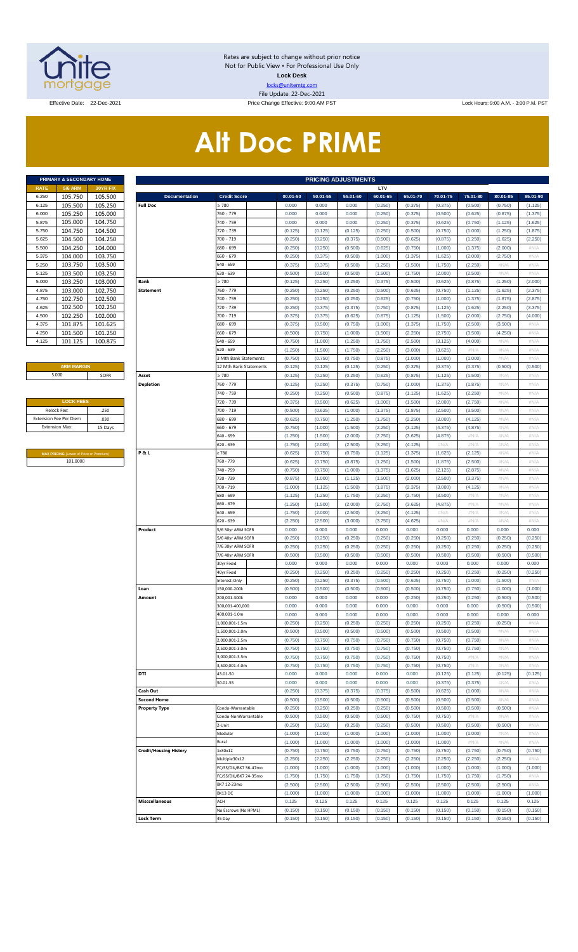

Rates are subject to change without prior notice Not for Public View • For Professional Use Only **Lock Desk** locks@unitemtg.com File Update: 22-Dec-2021

Effective Date: 22-Dec-2021 **Price Change Effective: 9:00 AM PST** Lock Hours: 9:00 A.M. - 3:00 P.M. PST

# **Alt Doc PRIME**

|             | <b>PRIMARY &amp; SECONDARY HOME</b> |                 |
|-------------|-------------------------------------|-----------------|
| <b>RATE</b> | <b>5/6 ARM</b>                      | <b>30YR FIX</b> |
| 6.250       | 105.750                             | 105.500         |
| 6.125       | 105.500                             | 105.250         |
| 6.000       | 105.250                             | 105.000         |
| 5.875       | 105.000                             | 104.750         |
| 5.750       | 104.750                             | 104.500         |
| 5.625       | 104.500                             | 104.250         |
| 5.500       | 104.250                             | 104.000         |
| 5.375       | 104.000                             | 103.750         |
| 5.250       | 103.750                             | 103.500         |
| 5.125       | 103.500                             | 103.250         |
| 5.000       | 103.250                             | 103.000         |
| 4.875       | 103.000                             | 102.750         |
| 4.750       | 102.750                             | 102.500         |
| 4.625       | 102.500                             | 102.250         |
| 4.500       | 102.250                             | 102.000         |
| 4.375       | 101.875                             | 101.625         |
| 4.250       | 101.500                             | 101.250         |
| 4.125       | 101.125                             | 100.875         |

#### **ARM MARGIN** 5.000

| <b>LOCK FEES</b>              |         |
|-------------------------------|---------|
| Relock Fee:                   | 250     |
| <b>Extension Fee Per Diem</b> | .030    |
| <b>Extension Max:</b>         | 15 Days |
|                               |         |

**MAX PRICING** (Lower of Price or Premium) 101.0000

|                       | PRIMARY & SECONDARY HOME                       |                    | <b>PRICING ADJUSTMENTS</b>    |                                              |                    |                    |                    |                    |                    |                    |                    |                    |                    |
|-----------------------|------------------------------------------------|--------------------|-------------------------------|----------------------------------------------|--------------------|--------------------|--------------------|--------------------|--------------------|--------------------|--------------------|--------------------|--------------------|
| RATE                  | <b>5/6 ARM</b>                                 | 30YR FIX           |                               |                                              |                    |                    |                    | LTV                |                    |                    |                    |                    |                    |
| 6.250                 | 105.750                                        | 105.500            | <b>Documentation</b>          | <b>Credit Score</b>                          | 00.01-50           | 50.01-55           | 55.01-60           | 60.01-65           | 65.01-70           | 70.01-75           | 75.01-80           | 80.01-85           | 85.01-90           |
| 6.125                 | 105.500                                        | 105.250            | <b>Full Doc</b>               | ≥ 780                                        | 0.000              | 0.000              | 0.000              | (0.250)            | (0.375)            | (0.375)            | (0.500)            | (0.750)            | (1.125)            |
| 6.000<br>5.875        | 105.250<br>105.000                             | 105.000<br>104.750 |                               | 760 - 779<br>740 - 759                       | 0.000<br>0.000     | 0.000<br>0.000     | 0.000<br>0.000     | (0.250)<br>(0.250) | (0.375)<br>(0.375) | (0.500)<br>(0.625) | (0.625)<br>(0.750) | (0.875)<br>(1.125) | (1.375)<br>(1.625) |
| 5.750                 | 104.750                                        | 104.500            |                               | 720 - 739                                    | (0.125)            | (0.125)            | (0.125)            | (0.250)            | (0.500)            | (0.750)            | (1.000)            | (1.250)            | (1.875)            |
| 5.625                 | 104.500                                        | 104.250            |                               | 700 - 719                                    | (0.250)            | (0.250)            | (0.375)            | (0.500)            | (0.625)            | (0.875)            | (1.250)            | (1.625)            | (2.250)            |
| 5.500                 | 104.250                                        | 104.000            |                               | 680 - 699                                    | (0.250)            | (0.250)            | (0.500)            | (0.625)            | (0.750)            | (1.000)            | (1.375)            | (2.000)            | #N/A               |
| 5.375                 | 104.000                                        | 103.750            |                               | 660 - 679                                    | (0.250)            | (0.375)            | (0.500)            | (1.000)            | (1.375)            | (1.625)            | (2.000)            | (2.750)            | #N/A               |
| 5.250                 | 103.750                                        | 103.500            |                               | 640 - 659                                    | (0.375)            | (0.375)            | (0.500)            | (1.250)            | (1.500)            | (1.750)            | (2.250)            | $\#N/A$            | #N/A               |
| 5.125                 | 103.500                                        | 103.250            |                               | 620 - 639                                    | (0.500)            | (0.500)            | (0.500)            | (1.500)            | (1.750)            | (2.000)            | (2.500)            | $\#N/A$            | #N/A               |
| 5.000                 | 103.250                                        | 103.000            | Bank                          | 2780                                         | (0.125)            | (0.250)            | (0.250)            | (0.375)            | (0.500)            | (0.625)            | (0.875)            | (1.250)            | (2.000)            |
| 4.875                 | 103.000                                        | 102.750            | <b>Statement</b>              | 760 - 779                                    | (0.250)            | (0.250)            | (0.250)            | (0.500)            | (0.625)            | (0.750)            | (1.125)            | (1.625)            | (2.375)            |
| 4.750                 | 102.750                                        | 102.500            |                               | 740 - 759                                    | (0.250)            | (0.250)            | (0.250)            | (0.625)            | (0.750)            | (1.000)            | (1.375)            | (1.875)            | (2.875)            |
| 4.625                 | 102.500                                        | 102.250            |                               | 720 - 739                                    | (0.250)            | (0.375)            | (0.375)            | (0.750)            | (0.875)            | (1.125)            | (1.625)            | (2.250)            | (3.375)            |
| 4.500                 | 102.250                                        | 102.000            |                               | 700 - 719                                    | (0.375)            | (0.375)            | (0.625)            | (0.875)            | (1.125)            | (1.500)            | (2.000)            | (2.750)            | (4.000)            |
| 4.375                 | 101.875                                        | 101.625            |                               | 680 - 699                                    | (0.375)            | (0.500)            | (0.750)            | (1.000)            | (1.375)            | (1.750)            | (2.500)            | (3.500)            | #N/A               |
| 4.250<br>4.125        | 101.500<br>101.125                             | 101.250<br>100.875 |                               | 660 - 679<br>640 - 659                       | (0.500)            | (0.750)<br>(1.000) | (1.000)<br>(1.250) | (1.500)<br>(1.750) | (2.250)<br>(2.500) | (2.750)<br>(3.125) | (3.500)<br>(4.000) | (4.250)<br>#N/A    | #N/A<br>#N/A       |
|                       |                                                |                    |                               | 620 - 639                                    | (0.750)<br>(1.250) | (1.500)            | (1.750)            | (2.250)            | (3.000)            | (3.625)            | #N/A               | $\#N/A$            | #N/A               |
|                       |                                                |                    |                               | 3 Mth Bank Statements                        | (0.750)            | (0.750)            | (0.750)            | (0.875)            | (1.000)            | (1.000)            | (1.000)            | $\#N/A$            | #N/A               |
|                       | <b>ARM MARGIN</b>                              |                    |                               | 12 Mth Bank Statements                       | (0.125)            | (0.125)            | (0.125)            | (0.250)            | (0.375)            | (0.375)            | (0.375)            | (0.500)            | (0.500)            |
|                       | 5.000                                          | SOFR               | Asset                         | 2780                                         | (0.125)            | (0.250)            | (0.250)            | (0.625)            | (0.875)            | (1.125)            | (1.500)            | #N/A               | #N/A               |
|                       |                                                |                    | <b>Depletion</b>              | 760 - 779                                    | (0.125)            | (0.250)            | (0.375)            | (0.750)            | (1.000)            | (1.375)            | (1.875)            | #N/A               | #N/A               |
|                       |                                                |                    |                               | 740 - 759                                    | (0.250)            | (0.250)            | (0.500)            | (0.875)            | (1.125)            | (1.625)            | (2.250)            | #N/A               | #N/A               |
|                       | <b>LOCK FEES</b>                               |                    |                               | 720 - 739                                    | (0.375)            | (0.500)            | (0.625)            | (1.000)            | (1.500)            | (2.000)            | (2.750)            | #N/A               | #N/A               |
|                       | Relock Fee:                                    | .250               |                               | 700 - 719                                    | (0.500)            | (0.625)            | (1.000)            | (1.375)            | (1.875)            | (2.500)            | (3.500)            | #N/A               | #N/A               |
|                       | xtension Fee Per Diem                          | .030               |                               | 680 - 699                                    | (0.625)            | (0.750)            | (1.250)            | (1.750)            | (2.250)            | (3.000)            | (4.125)            | #N/A               | #N/A               |
| <b>Extension Max:</b> |                                                | 15 Days            |                               | 660 - 679                                    | (0.750)            | (1.000)            | (1.500)            | (2.250)            | (3.125)            | (4.375)            | (4.875)            | #N/A               | #N/A               |
|                       |                                                |                    |                               | 640 - 659                                    | (1.250)            | (1.500)            | (2.000)            | (2.750)            | (3.625)            | (4.875)            | #N/A               | #N/A               | #N/A               |
|                       |                                                |                    |                               | 620 - 639                                    | (1.750)            | (2.000)            | (2.500)            | (3.250)            | (4.125)            | #N/A               | #N/A               | #N/A               | #N/A               |
|                       | <b>MAX PRICING</b> (Lower of Price or Premium) |                    | P&L                           | 2780                                         | (0.625)            | (0.750)            | (0.750)            | (1.125)            | (1.375)            | (1.625)            | (2.125)            | #N/A               | #N/A               |
|                       | 101.0000                                       |                    |                               | 760 - 779                                    | (0.625)            | (0.750)            | (0.875)            | (1.250)            | (1.500)            | (1.875)            | (2.500)            | #N/A               | #N/A               |
|                       |                                                |                    |                               | 740 - 759                                    | (0.750)            | (0.750)            | (1.000)            | (1.375)            | (1.625)            | (2.125)            | (2.875)            | #N/A               | #N/A               |
|                       |                                                |                    |                               | 720 - 739                                    | (0.875)            | (1.000)            | (1.125)            | (1.500)            | (2.000)            | (2.500)            | (3.375)            | #N/A               | #N/A               |
|                       |                                                |                    |                               | 700 - 719                                    | (1.000)            | (1.125)            | (1.500)            | (1.875)            | (2.375)            | (3.000)            | (4.125)            | #N/A               | #N/A               |
|                       |                                                |                    |                               | 680 - 699                                    | (1.125)            | (1.250)            | (1.750)            | (2.250)            | (2.750)            | (3.500)            | #N/A               | #N/A               | #N/A               |
|                       |                                                |                    |                               | 660 - 679<br>640 - 659                       | (1.250)            | (1.500)<br>(2.000) | (2.000)<br>(2.500) | (2.750)<br>(3.250) | (3.625)<br>(4.125) | (4.875)<br>#N/A    | #N/A<br>#N/A       | #N/A<br>#N/A       | #N/A<br>#N/A       |
|                       |                                                |                    |                               | 620 - 639                                    | (1.750)<br>(2.250) | (2.500)            | (3.000)            | (3.750)            | (4.625)            | #N/A               | #N/A               | #N/A               | #N/A               |
|                       |                                                |                    | Product                       | 5/6 30yr ARM SOFR                            | 0.000              | 0.000              | 0.000              | 0.000              | 0.000              | 0.000              | 0.000              | 0.000              | 0.000              |
|                       |                                                |                    |                               | 5/6 40yr ARM SOFR                            | (0.250)            | (0.250)            | (0.250)            | (0.250)            | (0.250)            | (0.250)            | (0.250)            | (0.250)            | (0.250)            |
|                       |                                                |                    |                               | 7/6 30yr ARM SOFR                            | (0.250)            | (0.250)            | (0.250)            | (0.250)            | (0.250)            | (0.250)            | (0.250)            | (0.250)            | (0.250)            |
|                       |                                                |                    |                               | 7/6 40yr ARM SOFR                            | (0.500)            | (0.500)            | (0.500)            | (0.500)            | (0.500)            | (0.500)            | (0.500)            | (0.500)            | (0.500)            |
|                       |                                                |                    |                               | 30yr Fixed                                   | 0.000              | 0.000              | 0.000              | 0.000              | 0.000              | 0.000              | 0.000              | 0.000              | 0.000              |
|                       |                                                |                    |                               | 40yr Fixed                                   | (0.250)            | (0.250)            | (0.250)            | (0.250)            | (0.250)            | (0.250)            | (0.250)            | (0.250)            | (0.250)            |
|                       |                                                |                    |                               | nterest-Only                                 | (0.250)            | (0.250)            | (0.375)            | (0.500)            | (0.625)            | (0.750)            | (1.000)            | (1.500)            | #N/A               |
|                       |                                                |                    | Loan                          | 150.000-200k                                 | (0.500)            | (0.500)            | (0.500)            | (0.500)            | (0.500)            | (0.750)            | (0.750)            | (1.000)            | (1.000)            |
|                       |                                                |                    | Amount                        | 200,001-300k                                 | 0.000              | 0.000              | 0.000              | 0.000              | (0.250)            | (0.250)            | (0.250)            | (0.500)            | (0.500)            |
|                       |                                                |                    |                               | 300,001-400,000                              | 0.000              | 0.000              | 0.000              | 0.000              | 0.000              | 0.000              | 0.000              | (0.500)            | (0.500)            |
|                       |                                                |                    |                               | 400,001-1.0m                                 | 0.000              | 0.000              | 0.000              | 0.000              | 0.000              | 0.000              | 0.000              | 0.000              | 0.000              |
|                       |                                                |                    |                               | ,000,001-1.5m                                | (0.250)            | (0.250)            | (0.250)            | (0.250)            | (0.250)            | (0.250)            | (0.250)            | (0.250)            | #N/A               |
|                       |                                                |                    |                               | ,500,001-2.0m                                | (0.500)            | (0.500)            | (0.500)            | (0.500)            | (0.500)            | (0.500)            | (0.500)            | #N/A               | #N/A               |
|                       |                                                |                    |                               | ,000,001-2.5m<br>,500,001-3.0m               | (0.750)            | (0.750)<br>(0.750) | (0.750)<br>(0.750) | (0.750)<br>(0.750) | (0.750)            | (0.750)            | (0.750)<br>(0.750) | #N/A<br>#N/A       | #N/A<br>#N/A       |
|                       |                                                |                    |                               | .000.001-3.5m                                | (0.750)<br>(0.750) | (0.750)            | (0.750)            | (0.750)            | (0.750)<br>(0.750) | (0.750)<br>(0.750) | #N/A               | #N/A               | #N/A               |
|                       |                                                |                    |                               | ,500,001-4.0m                                | (0.750)            | (0.750)            | (0.750)            | (0.750)            | (0.750)            | (0.750)            | $\#N/A$            | #N/A               | #N/A               |
|                       |                                                |                    | <b>DTI</b>                    | 13.01-50                                     | 0.000              | 0.000              | 0.000              | 0.000              | 0.000              | (0.125)            | (0.125)            | (0.125)            | (0.125)            |
|                       |                                                |                    |                               | 50.01-55                                     | 0.000              | 0.000              | 0.000              | 0.000              | 0.000              | (0.375)            | (0.375)            | #N/A               | #N/A               |
|                       |                                                |                    | Cash Out                      |                                              | (0.250)            | (0.375)            | (0.375)            | (0.375)            | (0.500)            | (0.625)            | (1.000)            | #N/A               | #N/A               |
|                       |                                                |                    | <b>Second Home</b>            |                                              | (0.500)            | (0.500)            | (0.500)            | (0.500)            | (0.500)            | (0.500)            | (0.500)            | #N/A               | #N/A               |
|                       |                                                |                    | <b>Property Type</b>          | Condo-Warrantable                            | (0.250)            | (0.250)            | (0.250)            | (0.250)            | (0.500)            | (0.500)            | (0.500)            | (0.500)            | #N/A               |
|                       |                                                |                    |                               | Condo-NonWarrantable                         | (0.500)            | (0.500)            | (0.500)            | (0.500)            | (0.750)            | (0.750)            | $\#N/A$            | $\#N/A$            | #N/A               |
|                       |                                                |                    |                               | !-Unit                                       | (0.250)            | (0.250)            | (0.250)            | (0.250)            | (0.500)            | (0.500)            | (0.500)            | (0.500)            | #N/A               |
|                       |                                                |                    |                               | Modular                                      | (1.000)            | (1.000)            | (1.000)            | (1.000)            | (1.000)            | (1.000)            | (1.000)            | #N/A               | #N/A               |
|                       |                                                |                    |                               | Rural                                        | (1.000)            | (1.000)            | (1.000)            | (1.000)            | (1.000)            | (1.000)            | #N/A               | #N/A               | #N/A               |
|                       |                                                |                    | <b>Credit/Housing History</b> | 1x30x12                                      | (0.750)            | (0.750)            | (0.750)            | (0.750)            | (0.750)            | (0.750)            | (0.750)            | (0.750)            | (0.750)            |
|                       |                                                |                    |                               | Multiple30x12                                | (2.250)            | (2.250)            | (2.250)            | (2.250)            | (2.250)            | (2.250)            | (2.250)            | (2.250)            | #N/A               |
|                       |                                                |                    |                               | C/SS/DIL/BK7 36-47mo<br>C/SS/DIL/BK7 24-35mo | (1.000)<br>(1.750) | (1.000)<br>(1.750) | (1.000)<br>(1.750) | (1.000)<br>(1.750) | (1.000)<br>(1.750) | (1.000)<br>(1.750) | (1.000)<br>(1.750) | (1.000)<br>(1.750) | (1.000)<br>#N/A    |
|                       |                                                |                    |                               | BK7 12-23mo                                  | (2.500)            | (2.500)            | (2.500)            | (2.500)            | (2.500)            | (2.500)            | (2.500)            | (2.500)            | #N/A               |
|                       |                                                |                    |                               | 3K13 DC                                      | (1.000)            | (1.000)            | (1.000)            | (1.000)            | (1.000)            | (1.000)            | (1.000)            | (1.000)            | (1.000)            |
|                       |                                                |                    | <b>Misccellaneous</b>         | ACH                                          | 0.125              | 0.125              | 0.125              | 0.125              | 0.125              | 0.125              | 0.125              | 0.125              | 0.125              |
|                       |                                                |                    |                               | No Escrows (No HPML)                         | (0.150)            | (0.150)            | (0.150)            | (0.150)            | (0.150)            | (0.150)            | (0.150)            | (0.150)            | (0.150)            |
|                       |                                                |                    | <b>Lock Term</b>              | 45 Day                                       | (0.150)            | (0.150)            | (0.150)            | (0.150)            | (0.150)            | (0.150)            | (0.150)            | (0.150)            | (0.150)            |
|                       |                                                |                    |                               |                                              |                    |                    |                    |                    |                    |                    |                    |                    |                    |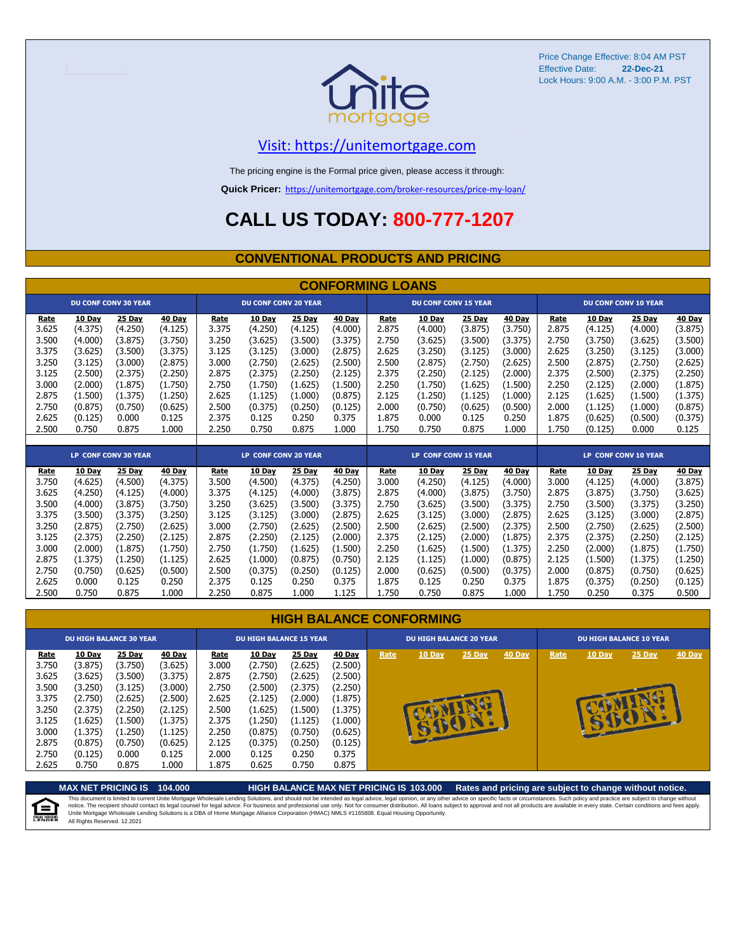

Price Change Effective: 8:04 AM PST Effective Date: Lock Hours: 9:00 A.M. - 3:00 P.M. PST **22-Dec-21**

#### [V](https://unitemortgage.com/)isit: https://unitemortgage.com

The pricing engine is the Formal price given, please access it through:

**Quick Pricer:** [https://un](https://unitemortgage.com/broker-resources/price-my-loan/)itemortgage.com/broker-resources/price-my-loan/

### **CALL US TODAY: 800-777-1207**

#### **CONVENTIONAL PRODUCTS AND PRICING**

|         |               |                             |         |       |                             |               | <b>CONFORMING LOANS</b> |                             |                             |               |         |       |                             |                             |               |  |
|---------|---------------|-----------------------------|---------|-------|-----------------------------|---------------|-------------------------|-----------------------------|-----------------------------|---------------|---------|-------|-----------------------------|-----------------------------|---------------|--|
|         |               | <b>DU CONF CONV 30 YEAR</b> |         |       | <b>DU CONF CONV 20 YEAR</b> |               |                         | <b>DU CONF CONV 15 YEAR</b> |                             |               |         |       | <b>DU CONF CONV 10 YEAR</b> |                             |               |  |
| Rate    | 10 Day        | 25 Day                      | 40 Day  | Rate  | 10 Day                      | 25 Day        | 40 Day                  | Rate                        | 10 Day                      | 25 Day        | 40 Day  | Rate  | 10 Day                      | 25 Day                      | 40 Day        |  |
| 3.625   | (4.375)       | (4.250)                     | (4.125) | 3.375 | (4.250)                     | (4.125)       | (4.000)                 | 2.875                       | (4.000)                     | (3.875)       | (3.750) | 2.875 | (4.125)                     | (4.000)                     | (3.875)       |  |
| 3.500   | (4.000)       | (3.875)                     | (3.750) | 3.250 | (3.625)                     | (3.500)       | (3.375)                 | 2.750                       | (3.625)                     | (3.500)       | (3.375) | 2.750 | (3.750)                     | (3.625)                     | (3.500)       |  |
| 3.375   | (3.625)       | (3.500)                     | (3.375) | 3.125 | (3.125)                     | (3.000)       | (2.875)                 | 2.625                       | (3.250)                     | (3.125)       | (3.000) | 2.625 | (3.250)                     | (3.125)                     | (3.000)       |  |
| 3.250   | (3.125)       | (3.000)                     | (2.875) | 3.000 | (2.750)                     | (2.625)       | (2.500)                 | 2.500                       | (2.875)                     | (2.750)       | (2.625) | 2.500 | (2.875)                     | (2.750)                     | (2.625)       |  |
| 3.125   | (2.500)       | (2.375)                     | (2.250) | 2.875 | (2.375)                     | (2.250)       | (2.125)                 | 2.375                       | (2.250)                     | (2.125)       | (2.000) | 2.375 | (2.500)                     | (2.375)                     | (2.250)       |  |
| 3.000   | (2.000)       | (1.875)                     | (1.750) | 2.750 | (1.750)                     | (1.625)       | (1.500)                 | 2.250                       | (1.750)                     | (1.625)       | (1.500) | 2.250 | (2.125)                     | (2.000)                     | (1.875)       |  |
| 2.875   | (1.500)       | (1.375)                     | (1.250) | 2.625 | (1.125)                     | (1.000)       | (0.875)                 | 2.125                       | (1.250)                     | (1.125)       | (1.000) | 2.125 | (1.625)                     | (1.500)                     | (1.375)       |  |
| 2.750   | (0.875)       | (0.750)                     | (0.625) | 2.500 | (0.375)                     | (0.250)       | (0.125)                 | 2.000                       | (0.750)                     | (0.625)       | (0.500) | 2.000 | (1.125)                     | (1.000)                     | (0.875)       |  |
| 2.625   | (0.125)       | 0.000                       | 0.125   | 2.375 | 0.125                       | 0.250         | 0.375                   | 1.875                       | 0.000                       | 0.125         | 0.250   | 1.875 | (0.625)                     | (0.500)                     | (0.375)       |  |
| 2.500   | 0.750         | 0.875                       | 1.000   | 2.250 | 0.750                       | 0.875         | 1.000                   | 1.750                       | 0.750                       | 0.875         | 1.000   | 1.750 | (0.125)                     | 0.000                       | 0.125         |  |
|         |               |                             |         |       |                             |               |                         |                             |                             |               |         |       |                             |                             |               |  |
|         |               | <b>LP CONF CONV 30 YEAR</b> |         |       | <b>LP CONF CONV 20 YEAR</b> |               |                         |                             | <b>LP CONF CONV 15 YEAR</b> |               |         |       |                             | <b>LP CONF CONV 10 YEAR</b> |               |  |
| Rate    | <b>10 Day</b> | <b>25 Day</b>               | 40 Day  | Rate  | <b>10 Day</b>               | <b>25 Day</b> | <b>40 Day</b>           | Rate                        | <b>10 Day</b>               | <b>25 Day</b> | 40 Day  | Rate  | <b>10 Day</b>               | <b>25 Day</b>               | <b>40 Day</b> |  |
| 3.750   | (4.625)       | (4.500)                     | (4.375) | 3.500 | (4.500)                     | (4.375)       | (4.250)                 | 3.000                       | (4.250)                     | (4.125)       | (4.000) | 3.000 | (4.125)                     | (4.000)                     | (3.875)       |  |
| 3.625   | (4.250)       | (4.125)                     | (4.000) | 3.375 | (4.125)                     | (4.000)       | (3.875)                 | 2.875                       | (4.000)                     | (3.875)       | (3.750) | 2.875 | (3.875)                     | (3.750)                     | (3.625)       |  |
| 3.500   | (4.000)       | (3.875)                     | (3.750) | 3.250 | (3.625)                     | (3.500)       | (3.375)                 | 2.750                       | (3.625)                     | (3.500)       | (3.375) | 2.750 | (3.500)                     | (3.375)                     | (3.250)       |  |
| 3.375   | (3.500)       | (3.375)                     | (3.250) | 3.125 | (3.125)                     | (3.000)       | (2.875)                 | 2.625                       | (3.125)                     | (3.000)       | (2.875) | 2.625 | (3.125)                     | (3.000)                     | (2.875)       |  |
| 3.250   | (2.875)       | (2.750)                     | (2.625) | 3.000 | (2.750)                     | (2.625)       | (2.500)                 | 2.500                       | (2.625)                     | (2.500)       | (2.375) | 2.500 | (2.750)                     | (2.625)                     | (2.500)       |  |
| 3 1 2 5 | (2 375)       | (2.250)                     | (2 125) | 2875  | (2.250)                     | (2125)        | 72.000 <sup>°</sup>     | 2375                        | (2125)                      | (2 ዐዐዐ)       | (1 875) | 2375  | (2 375)                     | (2.250)                     | (2125)        |  |

#### 3.125 (2.375) (2.250) (2.125) 2.875 (2.250) (2.125) (2.000) 2.375 (2.125) (2.000) (1.875) 2.375 (2.375) (2.250) (2.125) 3.000 (2.000) (1.875) (1.750) 2.750 (1.750) (1.625) (1.500) 2.250 (1.625) (1.500) (1.375) 2.250 (2.000) (1.875) (1.750) 2.875 (1.375) (1.250) (1.125) 2.625 (1.000) (0.875) (0.750) 2.125 (1.125) (1.000) (0.875) 2.125 (1.500) (1.375) (1.250) 2.750 (0.750) (0.625) (0.500) 2.500 (0.375) (0.250) (0.125) 2.000 (0.625) (0.500) (0.375) 2.000 (0.875) (0.750) (0.625) 2.625 0.000 0.125 0.250 2.375 0.125 0.250 0.375 1.875 0.125 0.250 0.375 1.875 (0.375) (0.250) (0.125) 2.500 0.750 0.875 1.000 2.250 0.875 1.000 1.125 1.750 0.750 0.875 1.000 1.750 0.250 0.375 0.500 **HIGH BALANCE CONFORMING**

| <b>DU HIGH BALANCE 30 YEAR</b>                                      |                                                                                     |                                                                                     |                                                                                            | <b>DU HIGH BALANCE 15 YEAR</b>                                      |                                                                                            |                                                                                     | <b>DU HIGH BALANCE 20 YEAR</b>                                                      |      |                                         |               | <b>DU HIGH BALANCE 10 YEAR</b> |      |               |          |               |
|---------------------------------------------------------------------|-------------------------------------------------------------------------------------|-------------------------------------------------------------------------------------|--------------------------------------------------------------------------------------------|---------------------------------------------------------------------|--------------------------------------------------------------------------------------------|-------------------------------------------------------------------------------------|-------------------------------------------------------------------------------------|------|-----------------------------------------|---------------|--------------------------------|------|---------------|----------|---------------|
| Rate<br>3.750<br>3.625<br>3.500<br>3.375<br>3.250<br>3.125<br>3.000 | 10 Day<br>(3.875)<br>(3.625)<br>(3.250)<br>(2.750)<br>(2.375)<br>(1.625)<br>(1.375) | 25 Day<br>(3.750)<br>(3.500)<br>(3.125)<br>(2.625)<br>(2.250)<br>(1.500)<br>(1.250) | <b>40 Day</b><br>(3.625)<br>(3.375)<br>(3.000)<br>(2.500)<br>(2.125)<br>(1.375)<br>(1.125) | Rate<br>3.000<br>2.875<br>2.750<br>2.625<br>2.500<br>2.375<br>2.250 | <u>10 Day</u><br>(2.750)<br>(2.750)<br>(2.500)<br>(2.125)<br>(1.625)<br>(1.250)<br>(0.875) | 25 Day<br>(2.625)<br>(2.625)<br>(2.375)<br>(2.000)<br>(1.500)<br>(1.125)<br>(0.750) | 40 Day<br>(2.500)<br>(2.500)<br>(2.250)<br>(1.875)<br>(1.375)<br>(1.000)<br>(0.625) | Rate | $10$ Day<br>$\mathcal{A}_{\mathcal{A}}$ | <b>25 Day</b> | <b>40 Day</b>                  | Rate | <b>10 Day</b> | $25$ Day | <b>40 Day</b> |
| 2.875<br>2.750<br>2.625                                             | (0.875)<br>(0.125)<br>0.750                                                         | (0.750)<br>0.000<br>0.875                                                           | (0.625)<br>0.125<br>1.000                                                                  | 2.125<br>2.000<br>1.875                                             | (0.375)<br>0.125<br>0.625                                                                  | (0.250)<br>0.250<br>0.750                                                           | (0.125)<br>0.375<br>0.875                                                           |      |                                         |               |                                |      |               |          |               |

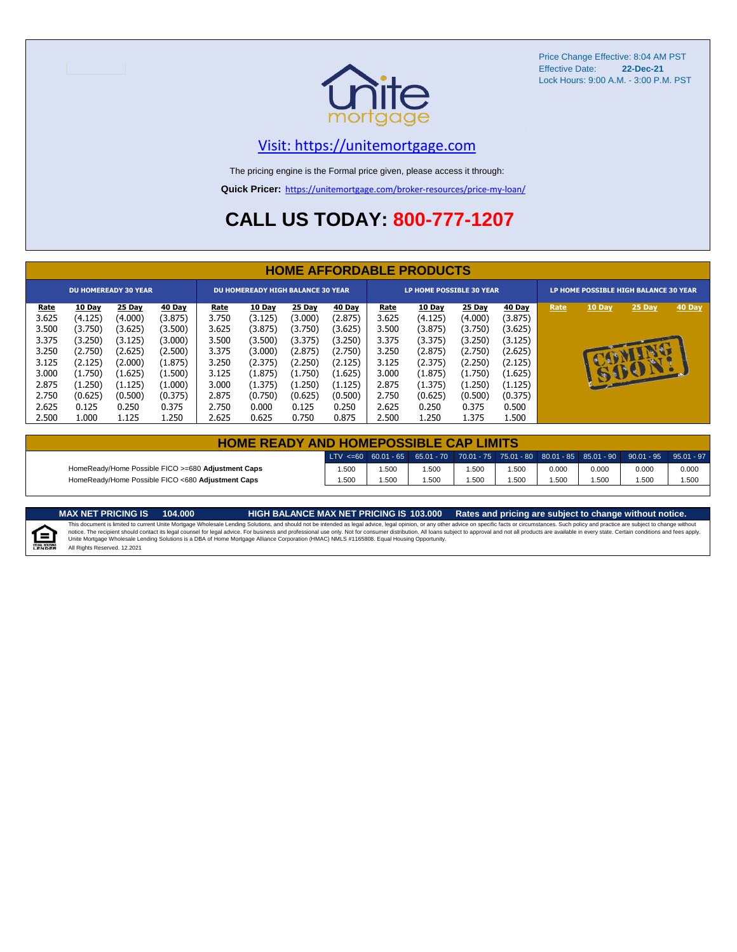

Price Change Effective: 8:04 AM PST Effective Date: **22-Dec-21** Lock Hours: 9:00 A.M. - 3:00 P.M. PST

#### [V](https://unitemortgage.com/)isit: https://unitemortgage.com

The pricing engine is the Formal price given, please access it through:

**Quick Pricer:** [https://un](https://unitemortgage.com/broker-resources/price-my-loan/)itemortgage.com/broker-resources/price-my-loan/

### **CALL US TODAY: 800-777-1207**

|             | <b>HOME AFFORDABLE PRODUCTS</b> |                             |         |             |                                          |         |         |             |                                 |         |         |                                       |          |        |        |
|-------------|---------------------------------|-----------------------------|---------|-------------|------------------------------------------|---------|---------|-------------|---------------------------------|---------|---------|---------------------------------------|----------|--------|--------|
|             |                                 | <b>DU HOMEREADY 30 YEAR</b> |         |             | <b>DU HOMEREADY HIGH BALANCE 30 YEAR</b> |         |         |             | <b>LP HOME POSSIBLE 30 YEAR</b> |         |         | LP HOME POSSIBLE HIGH BALANCE 30 YEAR |          |        |        |
| <u>Rate</u> | 10 Day                          | 25 Day                      | 40 Day  | <b>Rate</b> | <b>10 Day</b>                            | 25 Day  | 40 Day  | <b>Rate</b> | 10 Day                          | 25 Day  | 40 Day  | Rate                                  | 10 Day   | 25 Day | 40 Day |
| 3.625       | (4.125)                         | (4.000)                     | (3.875) | 3.750       | (3.125)                                  | (3.000) | (2.875) | 3.625       | (4.125)                         | (4.000) | (3.875) |                                       |          |        |        |
| 3.500       | (3.750)                         | (3.625)                     | (3.500) | 3.625       | (3.875)                                  | (3.750) | (3.625) | 3.500       | (3.875)                         | (3.750) | (3.625) |                                       |          |        |        |
| 3.375       | (3.250)                         | (3.125)                     | (3.000) | 3.500       | (3.500)                                  | (3.375) | (3.250) | 3.375       | (3.375)                         | (3.250) | (3.125) |                                       |          |        |        |
| 3.250       | (2.750)                         | (2.625)                     | (2.500) | 3.375       | (3.000)                                  | (2.875) | (2.750) | 3.250       | (2.875)                         | (2.750) | (2.625) |                                       |          |        |        |
| 3.125       | (2.125)                         | (2.000)                     | (1.875) | 3.250       | (2.375)                                  | (2.250) | (2.125) | 3.125       | (2.375)                         | (2.250) | (2.125) |                                       |          |        |        |
| 3.000       | (1.750)                         | (1.625)                     | (1.500) | 3.125       | (1.875)                                  | (1.750) | (1.625) | 3.000       | (1.875)                         | (1.750) | (1.625) |                                       | <b>B</b> | BO     |        |
| 2.875       | (1.250)                         | (1.125)                     | (1.000) | 3.000       | (1.375)                                  | (1.250) | (1.125) | 2.875       | (1.375)                         | (1.250) | (1.125) |                                       |          |        |        |
| 2.750       | (0.625)                         | (0.500)                     | (0.375) | 2.875       | (0.750)                                  | (0.625) | (0.500) | 2.750       | (0.625)                         | (0.500) | (0.375) |                                       |          |        |        |
| 2.625       | 0.125                           | 0.250                       | 0.375   | 2.750       | 0.000                                    | 0.125   | 0.250   | 2.625       | 0.250                           | 0.375   | 0.500   |                                       |          |        |        |
| 2.500       | 1.000                           | 1.125                       | 1.250   | 2.625       | 0.625                                    | 0.750   | 0.875   | 2.500       | 1.250                           | 1.375   | L.500   |                                       |          |        |        |

| <b>HOME READY AND HOMEPOSSIBLE CAP LIMITS</b>      |       |      |      |      |       |       |       |                                                                                                  |       |  |  |
|----------------------------------------------------|-------|------|------|------|-------|-------|-------|--------------------------------------------------------------------------------------------------|-------|--|--|
|                                                    |       |      |      |      |       |       |       | LTV <=60 60.01 - 65 65.01 - 70 70.01 - 75 75.01 - 80 80.01 - 85 85.01 - 90 90.01 - 95 95.01 - 97 |       |  |  |
| HomeReady/Home Possible FICO >=680 Adjustment Caps | 1.500 | .500 | .500 | .500 | 1.500 | 0.000 | 0.000 | 0.000                                                                                            | 0.000 |  |  |
| HomeReady/Home Possible FICO <680 Adiustment Caps  | 1.500 | .500 | .500 | .500 | 500،، | .500  | .500  | .500                                                                                             | 1.500 |  |  |

MAX NET PRICING IS 103.000 Rates and pricing are subject to change without notice.<br>This document is limited to current Unite Mortgage Wholesale Lending Solutions, and should not be intended as legal advice, legal opinion,

E

All Rights Reserved. 12.2021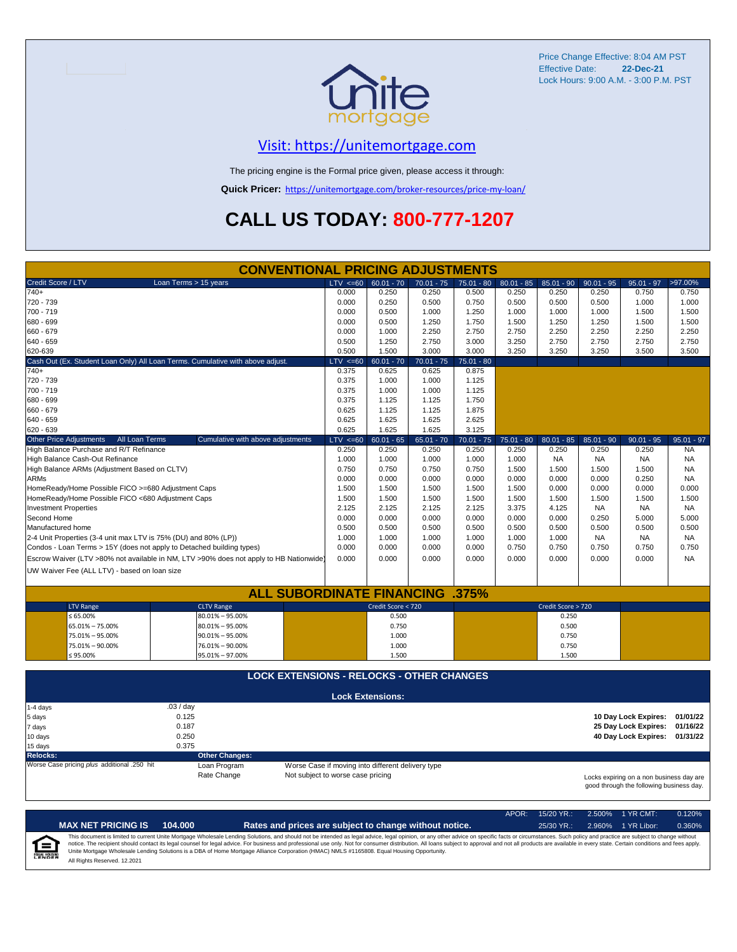

Price Change Effective: 8:04 AM PST Effective Date: **22-Dec-21** Lock Hours: 9:00 A.M. - 3:00 P.M. PST

#### [V](https://unitemortgage.com/)isit: https://unitemortgage.com

The pricing engine is the Formal price given, please access it through:

**Quick Pricer:** [https://un](https://unitemortgage.com/broker-resources/price-my-loan/)itemortgage.com/broker-resources/price-my-loan/

## **CALL US TODAY: 800-777-1207**

|                                                                       | <b>CONVENTIONAL PRICING ADJUSTMENTS</b>                                                |                                                   |                         |              |              |              |                    |              |                                                                                      |              |
|-----------------------------------------------------------------------|----------------------------------------------------------------------------------------|---------------------------------------------------|-------------------------|--------------|--------------|--------------|--------------------|--------------|--------------------------------------------------------------------------------------|--------------|
| Credit Score / LTV                                                    | Loan Terms > 15 years                                                                  | $LTV \le 60$                                      | $60.01 - 70$            | $70.01 - 75$ | $75.01 - 80$ | $80.01 - 85$ | $85.01 - 90$       | $90.01 - 95$ | $95.01 - 97$                                                                         | >97.00%      |
| $740+$                                                                |                                                                                        | 0.000                                             | 0.250                   | 0.250        | 0.500        | 0.250        | 0.250              | 0.250        | 0.750                                                                                | 0.750        |
| 720 - 739                                                             |                                                                                        | 0.000                                             | 0.250                   | 0.500        | 0.750        | 0.500        | 0.500              | 0.500        | 1.000                                                                                | 1.000        |
| 700 - 719                                                             |                                                                                        | 0.000                                             | 0.500                   | 1.000        | 1.250        | 1.000        | 1.000              | 1.000        | 1.500                                                                                | 1.500        |
| 680 - 699                                                             |                                                                                        | 0.000                                             | 0.500                   | 1.250        | 1.750        | 1.500        | 1.250              | 1.250        | 1.500                                                                                | 1.500        |
| 660 - 679                                                             |                                                                                        | 0.000                                             | 1.000                   | 2.250        | 2.750        | 2.750        | 2.250              | 2.250        | 2.250                                                                                | 2.250        |
| 640 - 659                                                             |                                                                                        | 0.500                                             | 1.250                   | 2.750        | 3.000        | 3.250        | 2.750              | 2.750        | 2.750                                                                                | 2.750        |
| 620-639                                                               |                                                                                        | 0.500                                             | 1.500                   | 3.000        | 3.000        | 3.250        | 3.250              | 3.250        | 3.500                                                                                | 3.500        |
|                                                                       | Cash Out (Ex. Student Loan Only) All Loan Terms. Cumulative with above adjust.         | $LTV \le 60$                                      | $60.01 - 70$            | $70.01 - 75$ | $75.01 - 80$ |              |                    |              |                                                                                      |              |
| $740+$                                                                |                                                                                        | 0.375                                             | 0.625                   | 0.625        | 0.875        |              |                    |              |                                                                                      |              |
| 720 - 739                                                             |                                                                                        | 0.375                                             | 1.000                   | 1.000        | 1.125        |              |                    |              |                                                                                      |              |
| 700 - 719                                                             |                                                                                        | 0.375                                             | 1.000                   | 1.000        | 1.125        |              |                    |              |                                                                                      |              |
| 680 - 699                                                             |                                                                                        | 0.375                                             | 1.125                   | 1.125        | 1.750        |              |                    |              |                                                                                      |              |
| 660 - 679                                                             |                                                                                        | 0.625                                             | 1.125                   | 1.125        | 1.875        |              |                    |              |                                                                                      |              |
| 640 - 659                                                             |                                                                                        | 0.625                                             | 1.625                   | 1.625        | 2.625        |              |                    |              |                                                                                      |              |
| 620 - 639                                                             |                                                                                        | 0.625                                             | 1.625                   | 1.625        | 3.125        |              |                    |              |                                                                                      |              |
| <b>Other Price Adjustments</b><br>All Loan Terms                      | Cumulative with above adjustments                                                      | $LTV \le 60$                                      | $60.01 - 65$            | $65.01 - 70$ | $70.01 - 75$ | $75.01 - 80$ | $80.01 - 85$       | $85.01 - 90$ | $90.01 - 95$                                                                         | $95.01 - 97$ |
| High Balance Purchase and R/T Refinance                               |                                                                                        | 0.250                                             | 0.250                   | 0.250        | 0.250        | 0.250        | 0.250              | 0.250        | 0.250                                                                                | <b>NA</b>    |
| High Balance Cash-Out Refinance                                       |                                                                                        | 1.000                                             | 1.000                   | 1.000        | 1.000        | 1.000        | <b>NA</b>          | <b>NA</b>    | <b>NA</b>                                                                            | <b>NA</b>    |
| High Balance ARMs (Adjustment Based on CLTV)                          |                                                                                        | 0.750                                             | 0.750                   | 0.750        | 0.750        | 1.500        | 1.500              | 1.500        | 1.500                                                                                | <b>NA</b>    |
| <b>ARMs</b>                                                           |                                                                                        | 0.000                                             | 0.000                   | 0.000        | 0.000        | 0.000        | 0.000              | 0.000        | 0.250                                                                                | <b>NA</b>    |
| HomeReady/Home Possible FICO >=680 Adjustment Caps                    |                                                                                        | 1.500                                             | 1.500                   | 1.500        | 1.500        | 1.500        | 0.000              | 0.000        | 0.000                                                                                | 0.000        |
| HomeReady/Home Possible FICO <680 Adjustment Caps                     |                                                                                        | 1.500                                             | 1.500                   | 1.500        | 1.500        | 1.500        | 1.500              | 1.500        | 1.500                                                                                | 1.500        |
| <b>Investment Properties</b>                                          |                                                                                        | 2.125                                             | 2.125                   | 2.125        | 2.125        | 3.375        | 4.125              | <b>NA</b>    | <b>NA</b>                                                                            | NA.          |
| Second Home                                                           |                                                                                        | 0.000                                             | 0.000                   | 0.000        | 0.000        | 0.000        | 0.000              | 0.250        | 5.000                                                                                | 5.000        |
| Manufactured home                                                     |                                                                                        | 0.500                                             | 0.500                   | 0.500        | 0.500        | 0.500        | 0.500              | 0.500        | 0.500                                                                                | 0.500        |
| 2-4 Unit Properties (3-4 unit max LTV is 75% (DU) and 80% (LP))       |                                                                                        | 1.000                                             | 1.000                   | 1.000        | 1.000        | 1.000        | 1.000              | <b>NA</b>    | <b>NA</b>                                                                            | NA.          |
| Condos - Loan Terms > 15Y (does not apply to Detached building types) |                                                                                        | 0.000                                             | 0.000                   | 0.000        | 0.000        | 0.750        | 0.750              | 0.750        | 0.750                                                                                | 0.750        |
|                                                                       | Escrow Waiver (LTV >80% not available in NM, LTV >90% does not apply to HB Nationwide) | 0.000                                             | 0.000                   | 0.000        | 0.000        | 0.000        | 0.000              | 0.000        | 0.000                                                                                | <b>NA</b>    |
| UW Waiver Fee (ALL LTV) - based on loan size                          |                                                                                        |                                                   |                         |              |              |              |                    |              |                                                                                      |              |
|                                                                       |                                                                                        |                                                   |                         |              |              |              |                    |              |                                                                                      |              |
|                                                                       | <b>ALL SUBORDINATE FINANCING</b>                                                       |                                                   |                         |              | $.375\%$     |              |                    |              |                                                                                      |              |
| <b>LTV Range</b>                                                      | <b>CLTV Range</b>                                                                      |                                                   | Credit Score < 720      |              |              |              | Credit Score > 720 |              |                                                                                      |              |
| ≤ 65.00%                                                              | $80.01\% - 95.00\%$                                                                    |                                                   | 0.500                   |              |              |              | 0.250              |              |                                                                                      |              |
| 65.01% - 75.00%                                                       | $80.01\% - 95.00\%$                                                                    |                                                   | 0.750                   |              |              |              | 0.500              |              |                                                                                      |              |
| 75.01% - 95.00%                                                       | $90.01\% - 95.00\%$                                                                    |                                                   | 1.000                   |              |              |              | 0.750              |              |                                                                                      |              |
| 75.01% - 90.00%                                                       | 76.01% - 90.00%                                                                        |                                                   | 1.000                   |              |              |              | 0.750              |              |                                                                                      |              |
| $$95.00\%$                                                            | 95.01% - 97.00%                                                                        |                                                   | 1.500                   |              |              |              | 1.500              |              |                                                                                      |              |
|                                                                       |                                                                                        |                                                   |                         |              |              |              |                    |              |                                                                                      |              |
|                                                                       | <b>LOCK EXTENSIONS - RELOCKS - OTHER CHANGES</b>                                       |                                                   |                         |              |              |              |                    |              |                                                                                      |              |
|                                                                       |                                                                                        |                                                   | <b>Lock Extensions:</b> |              |              |              |                    |              |                                                                                      |              |
| 1-4 days                                                              | .03/day                                                                                |                                                   |                         |              |              |              |                    |              |                                                                                      |              |
| 5 days                                                                | 0.125                                                                                  |                                                   |                         |              |              |              |                    |              | 10 Day Lock Expires:                                                                 | 01/01/22     |
| 7 days                                                                | 0.187                                                                                  |                                                   |                         |              |              |              |                    |              | 25 Day Lock Expires:                                                                 | 01/16/22     |
| 10 days                                                               | 0.250                                                                                  |                                                   |                         |              |              |              |                    |              | 40 Day Lock Expires:                                                                 | 01/31/22     |
| 15 days                                                               | 0.375                                                                                  |                                                   |                         |              |              |              |                    |              |                                                                                      |              |
| <b>Relocks:</b>                                                       | <b>Other Changes:</b>                                                                  |                                                   |                         |              |              |              |                    |              |                                                                                      |              |
| Worse Case pricing plus additional .250 hit                           | Loan Program                                                                           | Worse Case if moving into different delivery type |                         |              |              |              |                    |              |                                                                                      |              |
|                                                                       | Rate Change                                                                            | Not subject to worse case pricing                 |                         |              |              |              |                    |              | Locks expiring on a non business day are<br>good through the following business day. |              |

|                            |                              |         |                                                                                                                                                                                                                                                                                                                                                                                                                                                                                                                                                                                                                | APOR: | $15/20$ YR.: | $2.500\%$ 1 YR CMT: | 0.120% |
|----------------------------|------------------------------|---------|----------------------------------------------------------------------------------------------------------------------------------------------------------------------------------------------------------------------------------------------------------------------------------------------------------------------------------------------------------------------------------------------------------------------------------------------------------------------------------------------------------------------------------------------------------------------------------------------------------------|-------|--------------|---------------------|--------|
|                            | <b>MAX NET PRICING IS</b>    | 104.000 | Rates and prices are subject to change without notice.                                                                                                                                                                                                                                                                                                                                                                                                                                                                                                                                                         |       | $25/30$ YR.: | 2.960% 1 YR Libor:  | 0.360% |
| ſ≘<br><b>EQUAL HOUSING</b> | All Rights Reserved, 12,2021 |         | This document is limited to current Unite Mortgage Wholesale Lending Solutions, and should not be intended as legal advice, legal opinion, or any other advice on specific facts or circumstances. Such policy and practice ar<br>notice. The recipient should contact its legal counsel for legal advice. For business and professional use only. Not for consumer distribution. All loans subject to approval and not all products are available in every stat<br>Unite Mortgage Wholesale Lending Solutions is a DBA of Home Mortgage Alliance Corporation (HMAC) NMLS #1165808. Equal Housing Opportunity. |       |              |                     |        |